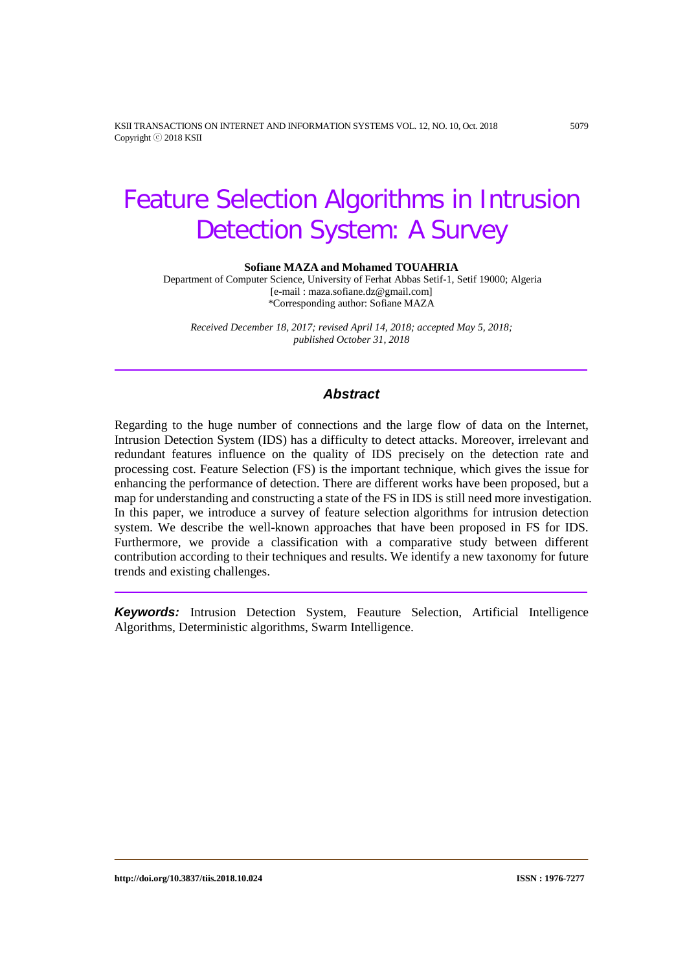KSII TRANSACTIONS ON INTERNET AND INFORMATION SYSTEMS VOL. 12, NO. 10, Oct. 2018 5079 Copyright ⓒ 2018 KSII

# Feature Selection Algorithms in Intrusion Detection System: A Survey

**Sofiane MAZA and Mohamed TOUAHRIA**

Department of Computer Science, University of Ferhat Abbas Setif-1, Setif 19000; Algeria [e-mail : maza.sofiane.dz@gmail.com] \*Corresponding author: Sofiane MAZA

*Received December 18, 2017; revised April 14, 2018; accepted May 5, 2018; published October 31, 2018*

# *Abstract*

Regarding to the huge number of connections and the large flow of data on the Internet, Intrusion Detection System (IDS) has a difficulty to detect attacks. Moreover, irrelevant and redundant features influence on the quality of IDS precisely on the detection rate and processing cost. Feature Selection (FS) is the important technique, which gives the issue for enhancing the performance of detection. There are different works have been proposed, but a map for understanding and constructing a state of the FS in IDS is still need more investigation. In this paper, we introduce a survey of feature selection algorithms for intrusion detection system. We describe the well-known approaches that have been proposed in FS for IDS. Furthermore, we provide a classification with a comparative study between different contribution according to their techniques and results. We identify a new taxonomy for future trends and existing challenges.

*Keywords:* Intrusion Detection System, Feauture Selection, Artificial Intelligence Algorithms, Deterministic algorithms, Swarm Intelligence.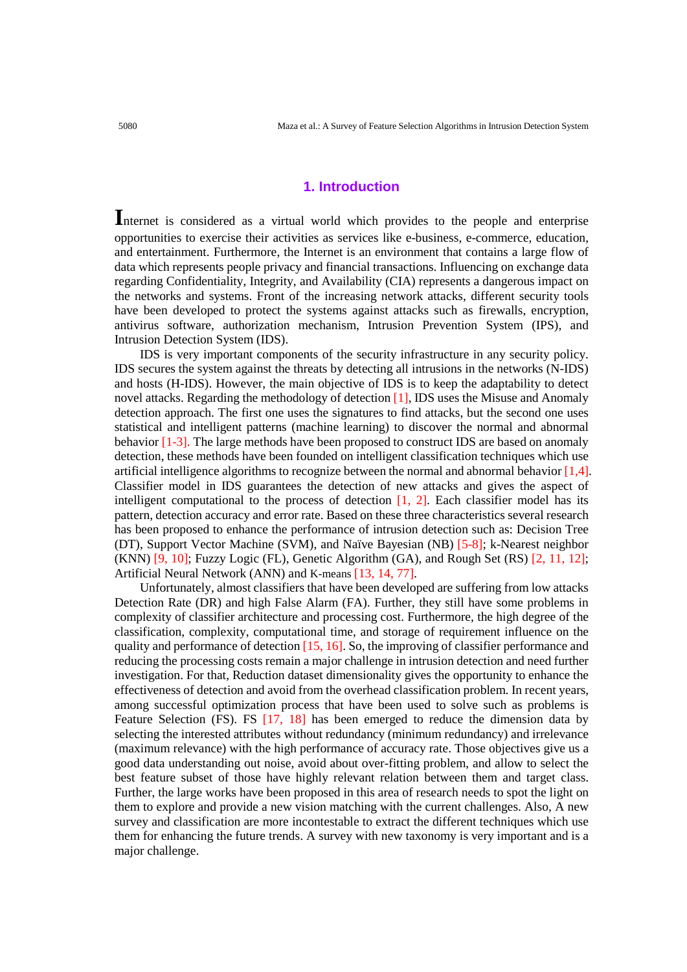#### **1. Introduction**

**I**nternet is considered as a virtual world which provides to the people and enterprise opportunities to exercise their activities as services like e-business, e-commerce, education, and entertainment. Furthermore, the Internet is an environment that contains a large flow of data which represents people privacy and financial transactions. Influencing on exchange data regarding Confidentiality, Integrity, and Availability (CIA) represents a dangerous impact on the networks and systems. Front of the increasing network attacks, different security tools have been developed to protect the systems against attacks such as firewalls, encryption, antivirus software, authorization mechanism, Intrusion Prevention System (IPS), and Intrusion Detection System (IDS).

 IDS is very important components of the security infrastructure in any security policy. IDS secures the system against the threats by detecting all intrusions in the networks (N-IDS) and hosts (H-IDS). However, the main objective of IDS is to keep the adaptability to detect novel attacks. Regarding the methodology of detection [1], IDS uses the Misuse and Anomaly detection approach. The first one uses the signatures to find attacks, but the second one uses statistical and intelligent patterns (machine learning) to discover the normal and abnormal behavior [1-3]. The large methods have been proposed to construct IDS are based on anomaly detection, these methods have been founded on intelligent classification techniques which use artificial intelligence algorithms to recognize between the normal and abnormal behavior [1,4]. Classifier model in IDS guarantees the detection of new attacks and gives the aspect of intelligent computational to the process of detection  $[1, 2]$ . Each classifier model has its pattern, detection accuracy and error rate. Based on these three characteristics several research has been proposed to enhance the performance of intrusion detection such as: Decision Tree (DT), Support Vector Machine (SVM), and Naïve Bayesian (NB) [5-8]; k-Nearest neighbor (KNN) [9, 10]; Fuzzy Logic (FL), Genetic Algorithm (GA), and Rough Set (RS) [2, 11, 12]; Artificial Neural Network (ANN) and K-means [13, 14, 77].

 Unfortunately, almost classifiers that have been developed are suffering from low attacks Detection Rate (DR) and high False Alarm (FA). Further, they still have some problems in complexity of classifier architecture and processing cost. Furthermore, the high degree of the classification, complexity, computational time, and storage of requirement influence on the quality and performance of detection [15, 16]. So, the improving of classifier performance and reducing the processing costs remain a major challenge in intrusion detection and need further investigation. For that, Reduction dataset dimensionality gives the opportunity to enhance the effectiveness of detection and avoid from the overhead classification problem. In recent years, among successful optimization process that have been used to solve such as problems is Feature Selection (FS). FS [17, 18] has been emerged to reduce the dimension data by selecting the interested attributes without redundancy (minimum redundancy) and irrelevance (maximum relevance) with the high performance of accuracy rate. Those objectives give us a good data understanding out noise, avoid about over-fitting problem, and allow to select the best feature subset of those have highly relevant relation between them and target class. Further, the large works have been proposed in this area of research needs to spot the light on them to explore and provide a new vision matching with the current challenges. Also, A new survey and classification are more incontestable to extract the different techniques which use them for enhancing the future trends. A survey with new taxonomy is very important and is a major challenge.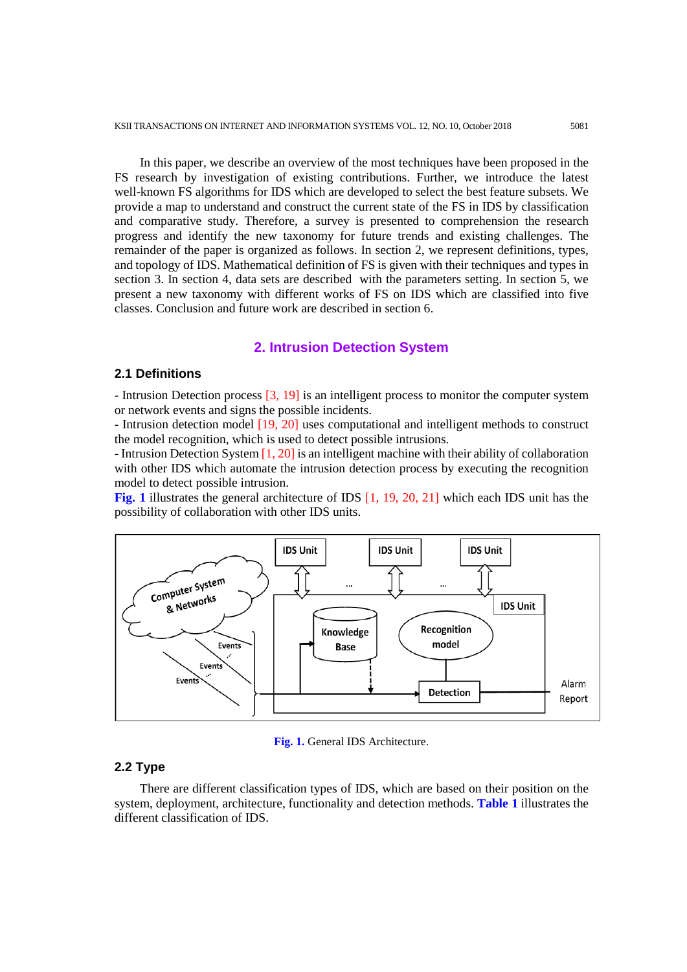In this paper, we describe an overview of the most techniques have been proposed in the FS research by investigation of existing contributions. Further, we introduce the latest well-known FS algorithms for IDS which are developed to select the best feature subsets. We provide a map to understand and construct the current state of the FS in IDS by classification and comparative study. Therefore, a survey is presented to comprehension the research progress and identify the new taxonomy for future trends and existing challenges. The remainder of the paper is organized as follows. In section 2, we represent definitions, types, and topology of IDS. Mathematical definition of FS is given with their techniques and types in section 3. In section 4, data sets are described with the parameters setting. In section 5, we present a new taxonomy with different works of FS on IDS which are classified into five classes. Conclusion and future work are described in section 6.

#### **2. Intrusion Detection System**

# **2.1 Definitions**

- Intrusion Detection process [3, 19] is an intelligent process to monitor the computer system or network events and signs the possible incidents.

- Intrusion detection model [19, 20] uses computational and intelligent methods to construct the model recognition, which is used to detect possible intrusions.

- Intrusion Detection System [1, 20] is an intelligent machine with their ability of collaboration with other IDS which automate the intrusion detection process by executing the recognition model to detect possible intrusion.

**Fig. 1** illustrates the general architecture of IDS [1, 19, 20, 21] which each IDS unit has the possibility of collaboration with other IDS units.



**Fig. 1.** General IDS Architecture.

## **2.2 Type**

 There are different classification types of IDS, which are based on their position on the system, deployment, architecture, functionality and detection methods. **Table 1** illustrates the different classification of IDS.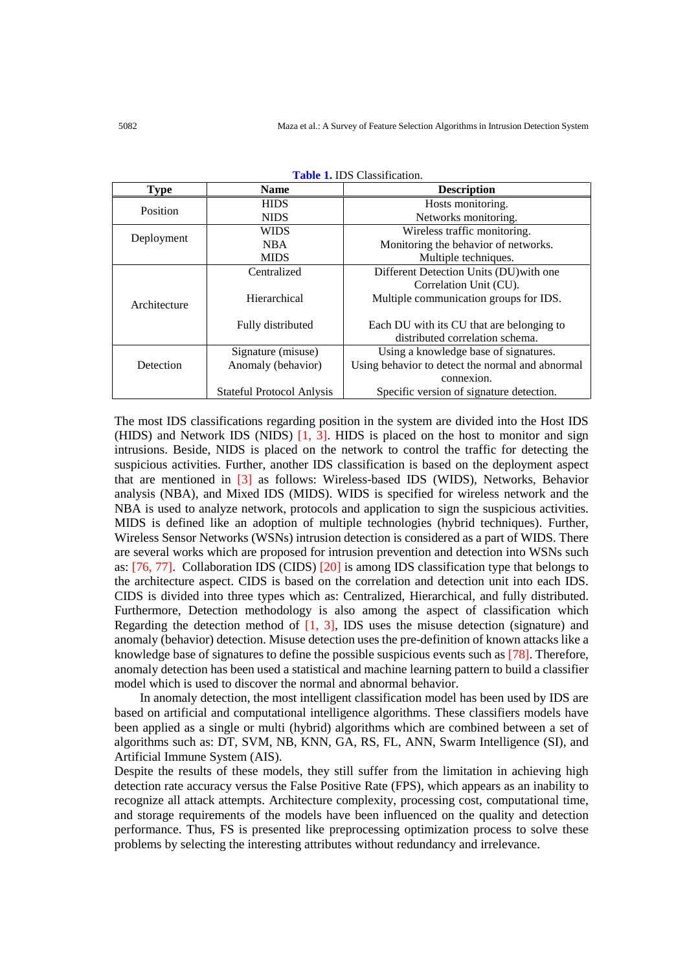| <b>Type</b>        | <b>Name</b>                                                                                                                           | <b>Description</b>                               |  |  |  |  |
|--------------------|---------------------------------------------------------------------------------------------------------------------------------------|--------------------------------------------------|--|--|--|--|
|                    | <b>HIDS</b>                                                                                                                           | Hosts monitoring.                                |  |  |  |  |
|                    | Position<br><b>NIDS</b><br><b>WIDS</b><br>Deployment<br><b>NBA</b><br><b>MIDS</b><br>Centralized<br>Hierarchical<br>Fully distributed | Networks monitoring.                             |  |  |  |  |
|                    |                                                                                                                                       | Wireless traffic monitoring.                     |  |  |  |  |
|                    |                                                                                                                                       | Monitoring the behavior of networks.             |  |  |  |  |
|                    |                                                                                                                                       | Multiple techniques.                             |  |  |  |  |
|                    |                                                                                                                                       | Different Detection Units (DU) with one          |  |  |  |  |
|                    |                                                                                                                                       | Correlation Unit (CU).                           |  |  |  |  |
| Architecture       |                                                                                                                                       | Multiple communication groups for IDS.           |  |  |  |  |
|                    |                                                                                                                                       |                                                  |  |  |  |  |
|                    |                                                                                                                                       | Each DU with its CU that are belonging to        |  |  |  |  |
|                    |                                                                                                                                       | distributed correlation schema.                  |  |  |  |  |
| Signature (misuse) |                                                                                                                                       | Using a knowledge base of signatures.            |  |  |  |  |
| Detection          | Anomaly (behavior)                                                                                                                    | Using behavior to detect the normal and abnormal |  |  |  |  |
|                    |                                                                                                                                       | connexion.                                       |  |  |  |  |
|                    | <b>Stateful Protocol Anlysis</b>                                                                                                      | Specific version of signature detection.         |  |  |  |  |

| <b>Table 1. IDS Classification.</b> |
|-------------------------------------|
|-------------------------------------|

The most IDS classifications regarding position in the system are divided into the Host IDS (HIDS) and Network IDS (NIDS)  $[1, 3]$ . HIDS is placed on the host to monitor and sign intrusions. Beside, NIDS is placed on the network to control the traffic for detecting the suspicious activities. Further, another IDS classification is based on the deployment aspect that are mentioned in [3] as follows: Wireless-based IDS (WIDS), Networks, Behavior analysis (NBA), and Mixed IDS (MIDS). WIDS is specified for wireless network and the NBA is used to analyze network, protocols and application to sign the suspicious activities. MIDS is defined like an adoption of multiple technologies (hybrid techniques). Further, Wireless Sensor Networks (WSNs) intrusion detection is considered as a part of WIDS. There are several works which are proposed for intrusion prevention and detection into WSNs such as: [76, 77]. Collaboration IDS (CIDS) [20] is among IDS classification type that belongs to the architecture aspect. CIDS is based on the correlation and detection unit into each IDS. CIDS is divided into three types which as: Centralized, Hierarchical, and fully distributed. Furthermore, Detection methodology is also among the aspect of classification which Regarding the detection method of  $[1, 3]$ , IDS uses the misuse detection (signature) and anomaly (behavior) detection. Misuse detection uses the pre-definition of known attacks like a knowledge base of signatures to define the possible suspicious events such as [78]. Therefore, anomaly detection has been used a statistical and machine learning pattern to build a classifier model which is used to discover the normal and abnormal behavior.

 In anomaly detection, the most intelligent classification model has been used by IDS are based on artificial and computational intelligence algorithms. These classifiers models have been applied as a single or multi (hybrid) algorithms which are combined between a set of algorithms such as: DT, SVM, NB, KNN, GA, RS, FL, ANN, Swarm Intelligence (SI), and Artificial Immune System (AIS).

Despite the results of these models, they still suffer from the limitation in achieving high detection rate accuracy versus the False Positive Rate (FPS), which appears as an inability to recognize all attack attempts. Architecture complexity, processing cost, computational time, and storage requirements of the models have been influenced on the quality and detection performance. Thus, FS is presented like preprocessing optimization process to solve these problems by selecting the interesting attributes without redundancy and irrelevance.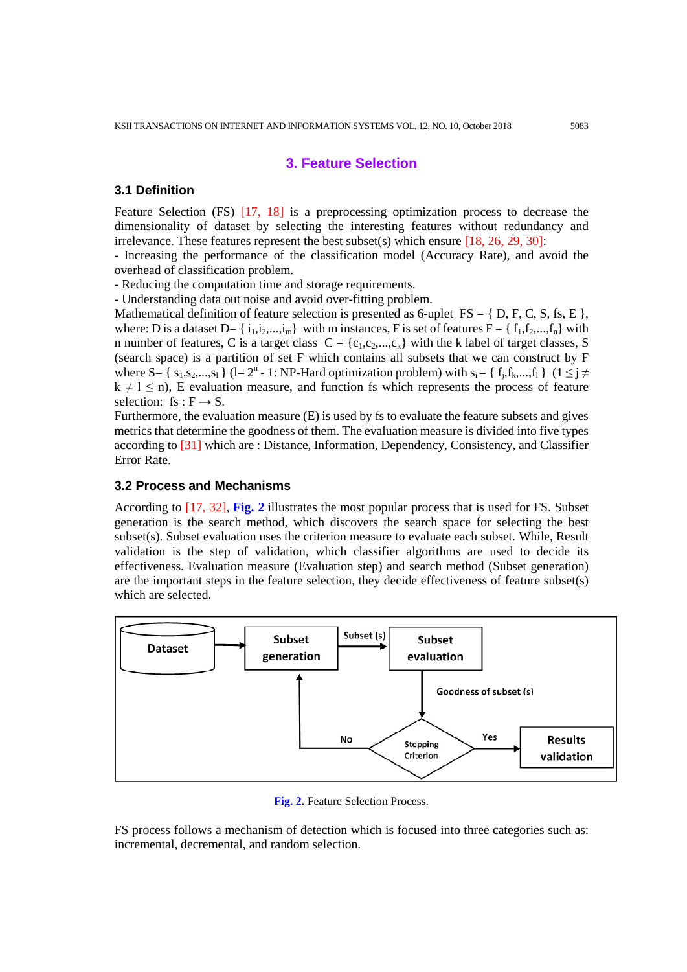# **3. Feature Selection**

#### **3.1 Definition**

Feature Selection (FS) [17, 18] is a preprocessing optimization process to decrease the dimensionality of dataset by selecting the interesting features without redundancy and irrelevance. These features represent the best subset(s) which ensure  $[18, 26, 29, 30]$ :

- Increasing the performance of the classification model (Accuracy Rate), and avoid the overhead of classification problem.

- Reducing the computation time and storage requirements.

- Understanding data out noise and avoid over-fitting problem.

Mathematical definition of feature selection is presented as 6-uplet  $FS = \{ D, F, C, S, fs, E \}$ , where: D is a dataset D=  $\{i_1, i_2, ..., i_m\}$  with m instances, F is set of features F =  $\{f_1, f_2, ..., f_n\}$  with n number of features, C is a target class  $C = \{c_1, c_2, ..., c_k\}$  with the k label of target classes, S (search space) is a partition of set F which contains all subsets that we can construct by F where S=  $\{s_1, s_2, ..., s_l\}$  (l=  $2^n - 1$ : NP-Hard optimization problem) with  $s_i = \{f_i, f_k, ..., f_l\}$  ( $1 \leq j \neq j$  $k \neq l \leq n$ ), E evaluation measure, and function fs which represents the process of feature selection: fs :  $F \rightarrow S$ .

Furthermore, the evaluation measure (E) is used by fs to evaluate the feature subsets and gives metrics that determine the goodness of them. The evaluation measure is divided into five types according to [31] which are : Distance, Information, Dependency, Consistency, and Classifier Error Rate.

## **3.2 Process and Mechanisms**

According to [17, 32], **Fig. 2** illustrates the most popular process that is used for FS. Subset generation is the search method, which discovers the search space for selecting the best subset(s). Subset evaluation uses the criterion measure to evaluate each subset. While, Result validation is the step of validation, which classifier algorithms are used to decide its effectiveness. Evaluation measure (Evaluation step) and search method (Subset generation) are the important steps in the feature selection, they decide effectiveness of feature subset(s) which are selected.



**Fig. 2.** Feature Selection Process.

FS process follows a mechanism of detection which is focused into three categories such as: incremental, decremental, and random selection.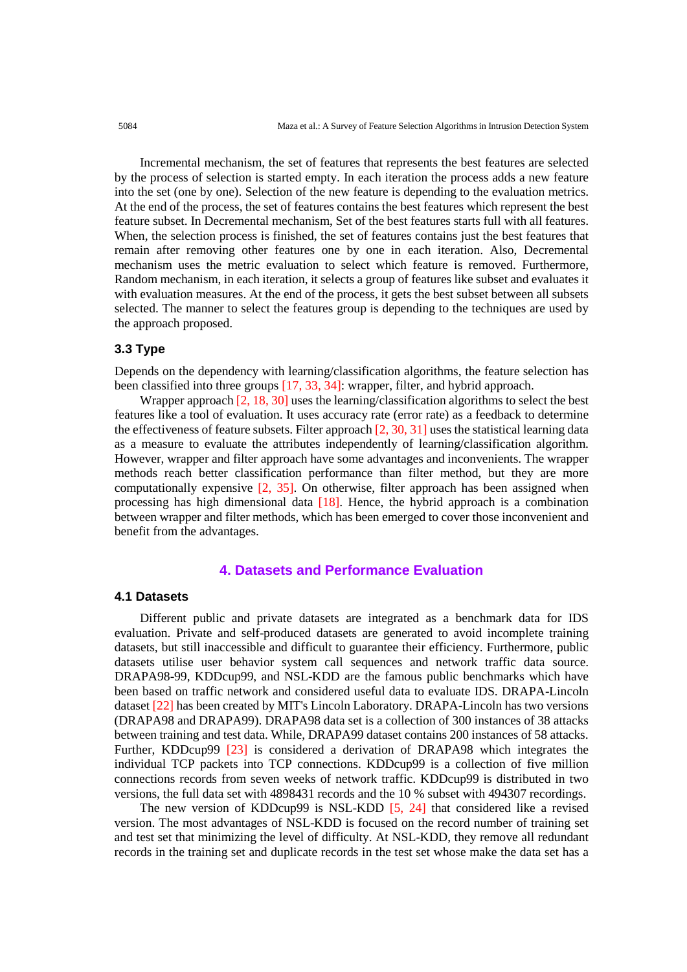Incremental mechanism, the set of features that represents the best features are selected by the process of selection is started empty. In each iteration the process adds a new feature into the set (one by one). Selection of the new feature is depending to the evaluation metrics. At the end of the process, the set of features contains the best features which represent the best feature subset. In Decremental mechanism, Set of the best features starts full with all features. When, the selection process is finished, the set of features contains just the best features that remain after removing other features one by one in each iteration. Also, Decremental mechanism uses the metric evaluation to select which feature is removed. Furthermore, Random mechanism, in each iteration, it selects a group of features like subset and evaluates it with evaluation measures. At the end of the process, it gets the best subset between all subsets selected. The manner to select the features group is depending to the techniques are used by the approach proposed.

# **3.3 Type**

Depends on the dependency with learning/classification algorithms, the feature selection has been classified into three groups [17, 33, 34]: wrapper, filter, and hybrid approach.

 Wrapper approach [2, 18, 30] uses the learning/classification algorithms to select the best features like a tool of evaluation. It uses accuracy rate (error rate) as a feedback to determine the effectiveness of feature subsets. Filter approach [2, 30, 31] uses the statistical learning data as a measure to evaluate the attributes independently of learning/classification algorithm. However, wrapper and filter approach have some advantages and inconvenients. The wrapper methods reach better classification performance than filter method, but they are more computationally expensive [2, 35]. On otherwise, filter approach has been assigned when processing has high dimensional data  $[18]$ . Hence, the hybrid approach is a combination between wrapper and filter methods, which has been emerged to cover those inconvenient and benefit from the advantages.

## **4. Datasets and Performance Evaluation**

#### **4.1 Datasets**

 Different public and private datasets are integrated as a benchmark data for IDS evaluation. Private and self-produced datasets are generated to avoid incomplete training datasets, but still inaccessible and difficult to guarantee their efficiency. Furthermore, public datasets utilise user behavior system call sequences and network traffic data source. DRAPA98-99, KDDcup99, and NSL-KDD are the famous public benchmarks which have been based on traffic network and considered useful data to evaluate IDS. DRAPA-Lincoln dataset [22] has been created by MIT's Lincoln Laboratory. DRAPA-Lincoln has two versions (DRAPA98 and DRAPA99). DRAPA98 data set is a collection of 300 instances of 38 attacks between training and test data. While, DRAPA99 dataset contains 200 instances of 58 attacks. Further, KDDcup99 [23] is considered a derivation of DRAPA98 which integrates the individual TCP packets into TCP connections. KDDcup99 is a collection of five million connections records from seven weeks of network traffic. KDDcup99 is distributed in two versions, the full data set with 4898431 records and the 10 % subset with 494307 recordings.

 The new version of KDDcup99 is NSL-KDD [5, 24] that considered like a revised version. The most advantages of NSL-KDD is focused on the record number of training set and test set that minimizing the level of difficulty. At NSL-KDD, they remove all redundant records in the training set and duplicate records in the test set whose make the data set has a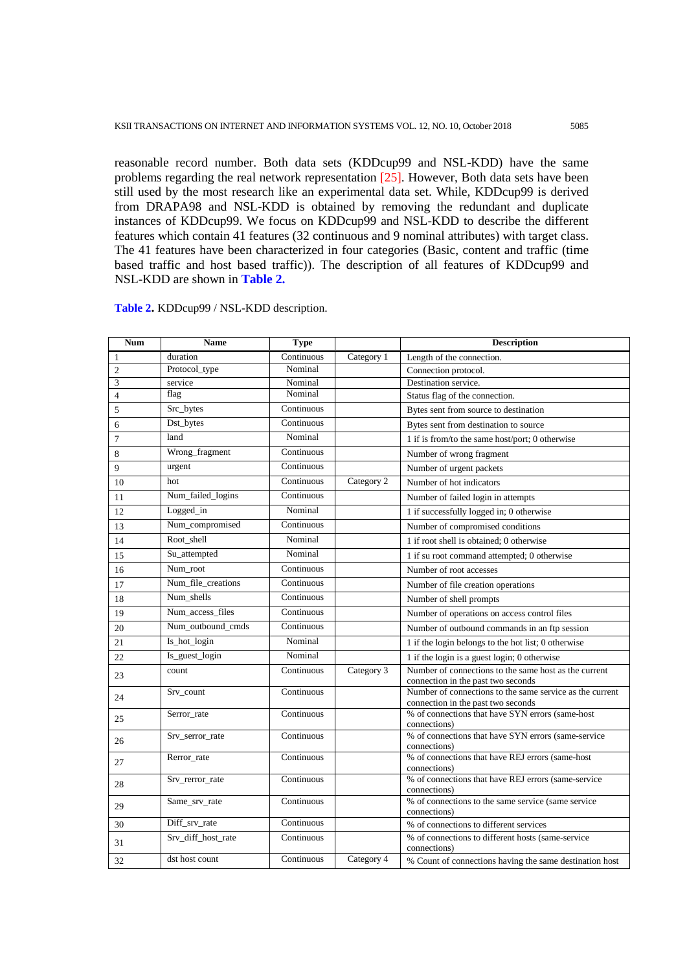reasonable record number. Both data sets (KDDcup99 and NSL-KDD) have the same problems regarding the real network representation  $[25]$ . However, Both data sets have been still used by the most research like an experimental data set. While, KDDcup99 is derived from DRAPA98 and NSL-KDD is obtained by removing the redundant and duplicate instances of KDDcup99. We focus on KDDcup99 and NSL-KDD to describe the different features which contain 41 features (32 continuous and 9 nominal attributes) with target class. The 41 features have been characterized in four categories (Basic, content and traffic (time based traffic and host based traffic)). The description of all features of KDDcup99 and NSL-KDD are shown in **Table 2.**

| <b>Num</b>     | <b>Name</b>        | <b>Type</b> |            | <b>Description</b>                                                                             |
|----------------|--------------------|-------------|------------|------------------------------------------------------------------------------------------------|
| 1              | duration           | Continuous  | Category 1 | Length of the connection.                                                                      |
| 2              | Protocol_type      | Nominal     |            | Connection protocol.                                                                           |
| 3              | service            | Nominal     |            | Destination service.                                                                           |
| $\overline{4}$ | flag               | Nominal     |            | Status flag of the connection.                                                                 |
| 5              | Src_bytes          | Continuous  |            | Bytes sent from source to destination                                                          |
| 6              | Dst_bytes          | Continuous  |            | Bytes sent from destination to source                                                          |
| 7              | land               | Nominal     |            | 1 if is from/to the same host/port; 0 otherwise                                                |
| 8              | Wrong_fragment     | Continuous  |            | Number of wrong fragment                                                                       |
| 9              | urgent             | Continuous  |            | Number of urgent packets                                                                       |
| 10             | hot                | Continuous  | Category 2 | Number of hot indicators                                                                       |
| 11             | Num_failed_logins  | Continuous  |            | Number of failed login in attempts                                                             |
| 12             | Logged_in          | Nominal     |            | 1 if successfully logged in; 0 otherwise                                                       |
| 13             | Num_compromised    | Continuous  |            | Number of compromised conditions                                                               |
| 14             | Root shell         | Nominal     |            | 1 if root shell is obtained; 0 otherwise                                                       |
| 15             | Su_attempted       | Nominal     |            | 1 if su root command attempted; 0 otherwise                                                    |
| 16             | Num_root           | Continuous  |            | Number of root accesses                                                                        |
| 17             | Num_file_creations | Continuous  |            | Number of file creation operations                                                             |
| 18             | Num_shells         | Continuous  |            | Number of shell prompts                                                                        |
| 19             | Num_access_files   | Continuous  |            | Number of operations on access control files                                                   |
| 20             | Num_outbound_cmds  | Continuous  |            | Number of outbound commands in an ftp session                                                  |
| 21             | Is_hot_login       | Nominal     |            | 1 if the login belongs to the hot list; 0 otherwise                                            |
| 22             | Is_guest_login     | Nominal     |            | 1 if the login is a guest login; 0 otherwise                                                   |
| 23             | count              | Continuous  | Category 3 | Number of connections to the same host as the current<br>connection in the past two seconds    |
| 24             | Srv_count          | Continuous  |            | Number of connections to the same service as the current<br>connection in the past two seconds |
| 25             | Serror_rate        | Continuous  |            | % of connections that have SYN errors (same-host<br>connections)                               |
| 26             | Srv_serror_rate    | Continuous  |            | % of connections that have SYN errors (same-service<br>connections)                            |
| 27             | Rerror_rate        | Continuous  |            | % of connections that have REJ errors (same-host<br>connections)                               |
| 28             | Srv_rerror_rate    | Continuous  |            | % of connections that have REJ errors (same-service<br>connections)                            |
| 29             | Same_srv_rate      | Continuous  |            | % of connections to the same service (same service<br>connections)                             |
| 30             | Diff_srv_rate      | Continuous  |            | % of connections to different services                                                         |
| 31             | Srv_diff_host_rate | Continuous  |            | % of connections to different hosts (same-service)<br>connections)                             |
| 32             | dst host count     | Continuous  | Category 4 | % Count of connections having the same destination host                                        |

**Table 2.** KDDcup99 / NSL-KDD description.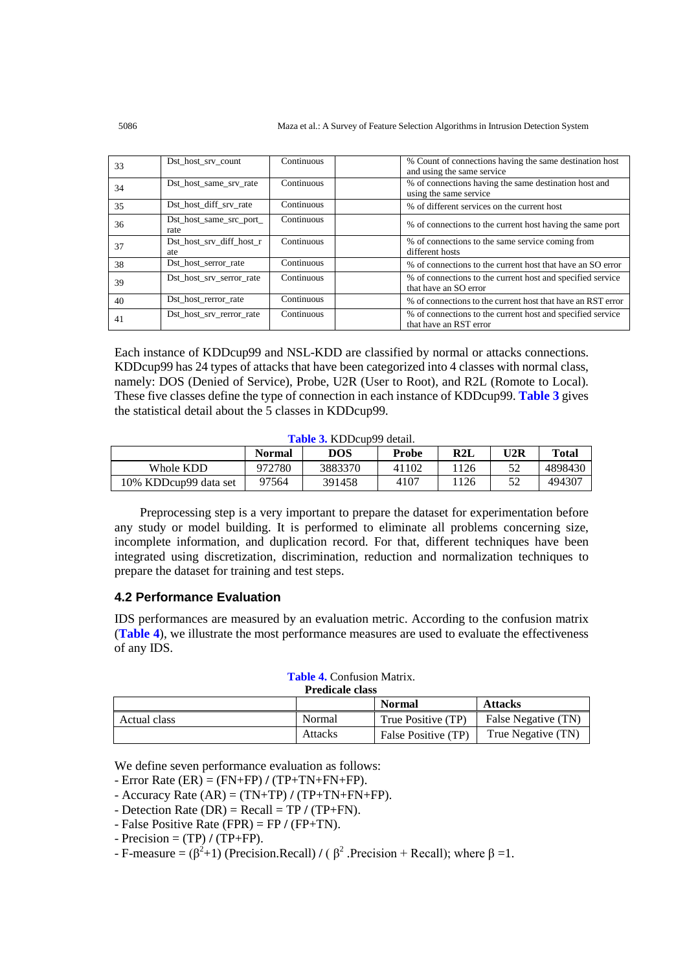| 33 | Dst_host_srv_count              | Continuous | % Count of connections having the same destination host<br>and using the same service |
|----|---------------------------------|------------|---------------------------------------------------------------------------------------|
| 34 | Dst host same srv rate          | Continuous | % of connections having the same destination host and<br>using the same service       |
| 35 | Dst host diff srv rate          | Continuous | % of different services on the current host                                           |
| 36 | Dst_host_same_src_port_<br>rate | Continuous | % of connections to the current host having the same port                             |
| 37 | Dst host srv diff host r<br>ate | Continuous | % of connections to the same service coming from<br>different hosts                   |
| 38 | Dst_host_serror_rate            | Continuous | % of connections to the current host that have an SO error                            |
| 39 | Dst_host_srv_serror_rate        | Continuous | % of connections to the current host and specified service<br>that have an SO error   |
| 40 | Dst host rerror rate            | Continuous | % of connections to the current host that have an RST error                           |
| 41 | Dst host srv rerror rate        | Continuous | % of connections to the current host and specified service<br>that have an RST error  |

Each instance of KDDcup99 and NSL-KDD are classified by normal or attacks connections. KDDcup99 has 24 types of attacks that have been categorized into 4 classes with normal class, namely: DOS (Denied of Service), Probe, U2R (User to Root), and R2L (Romote to Local). These five classes define the type of connection in each instance of KDDcup99. **Table 3** gives the statistical detail about the 5 classes in KDDcup99.

| Table 3. KDDcup99 detail. |  |
|---------------------------|--|
|---------------------------|--|

|                       | <b>Normal</b> | DOS     | Probe | R2L            | U2R | <b>Total</b> |
|-----------------------|---------------|---------|-------|----------------|-----|--------------|
| Whole KDD             | 972780        | 3883370 | 41102 | <sup>126</sup> |     | 4898430      |
| 10% KDDcup99 data set | 97564         | 391458  | 4107  | <sup>126</sup> | ے ر | 494307       |

 Preprocessing step is a very important to prepare the dataset for experimentation before any study or model building. It is performed to eliminate all problems concerning size, incomplete information, and duplication record. For that, different techniques have been integrated using discretization, discrimination, reduction and normalization techniques to prepare the dataset for training and test steps.

#### **4.2 Performance Evaluation**

IDS performances are measured by an evaluation metric. According to the confusion matrix (**Table 4**), we illustrate the most performance measures are used to evaluate the effectiveness of any IDS.

#### **Table 4.** Confusion Matrix.

|              | <b>Predicale class</b> |                     |                     |
|--------------|------------------------|---------------------|---------------------|
|              |                        | <b>Normal</b>       | <b>Attacks</b>      |
| Actual class | Normal                 | True Positive (TP)  | False Negative (TN) |
|              | Attacks                | False Positive (TP) | True Negative (TN)  |

We define seven performance evaluation as follows:

- Error Rate (ER) = (FN+FP) **/** (TP+TN+FN+FP).
- Accuracy Rate (AR) = (TN+TP) **/** (TP+TN+FN+FP).
- Detection Rate (DR) = Recall = TP **/** (TP+FN).
- False Positive Rate (FPR) = FP **/** (FP+TN).
- $-$  Precision  $=$  (TP)  $/$  (TP+FP).

- F-measure =  $(\beta^2+1)$  (Precision.Recall) / ( $\beta^2$ .Precision + Recall); where  $\beta = 1$ .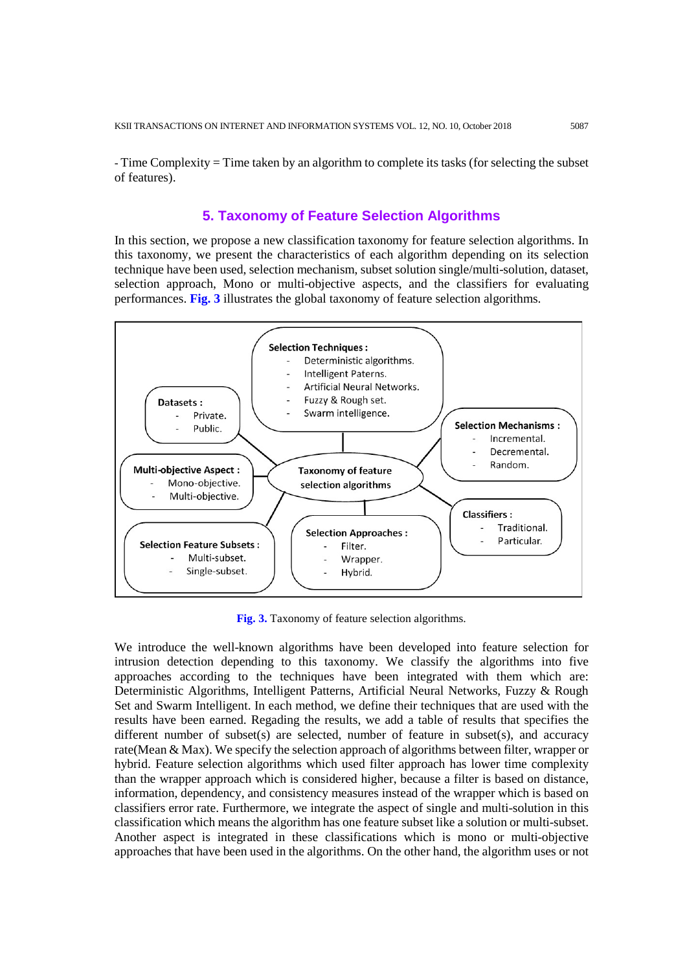- Time Complexity = Time taken by an algorithm to complete its tasks (for selecting the subset of features).

# **5. Taxonomy of Feature Selection Algorithms**

In this section, we propose a new classification taxonomy for feature selection algorithms. In this taxonomy, we present the characteristics of each algorithm depending on its selection technique have been used, selection mechanism, subset solution single/multi-solution, dataset, selection approach, Mono or multi-objective aspects, and the classifiers for evaluating performances. **Fig. 3** illustrates the global taxonomy of feature selection algorithms.



**Fig. 3.** Taxonomy of feature selection algorithms.

We introduce the well-known algorithms have been developed into feature selection for intrusion detection depending to this taxonomy. We classify the algorithms into five approaches according to the techniques have been integrated with them which are: Deterministic Algorithms, Intelligent Patterns, Artificial Neural Networks, Fuzzy & Rough Set and Swarm Intelligent. In each method, we define their techniques that are used with the results have been earned. Regading the results, we add a table of results that specifies the different number of subset(s) are selected, number of feature in subset(s), and accuracy rate(Mean & Max). We specify the selection approach of algorithms between filter, wrapper or hybrid. Feature selection algorithms which used filter approach has lower time complexity than the wrapper approach which is considered higher, because a filter is based on distance, information, dependency, and consistency measures instead of the wrapper which is based on classifiers error rate. Furthermore, we integrate the aspect of single and multi-solution in this classification which means the algorithm has one feature subset like a solution or multi-subset. Another aspect is integrated in these classifications which is mono or multi-objective approaches that have been used in the algorithms. On the other hand, the algorithm uses or not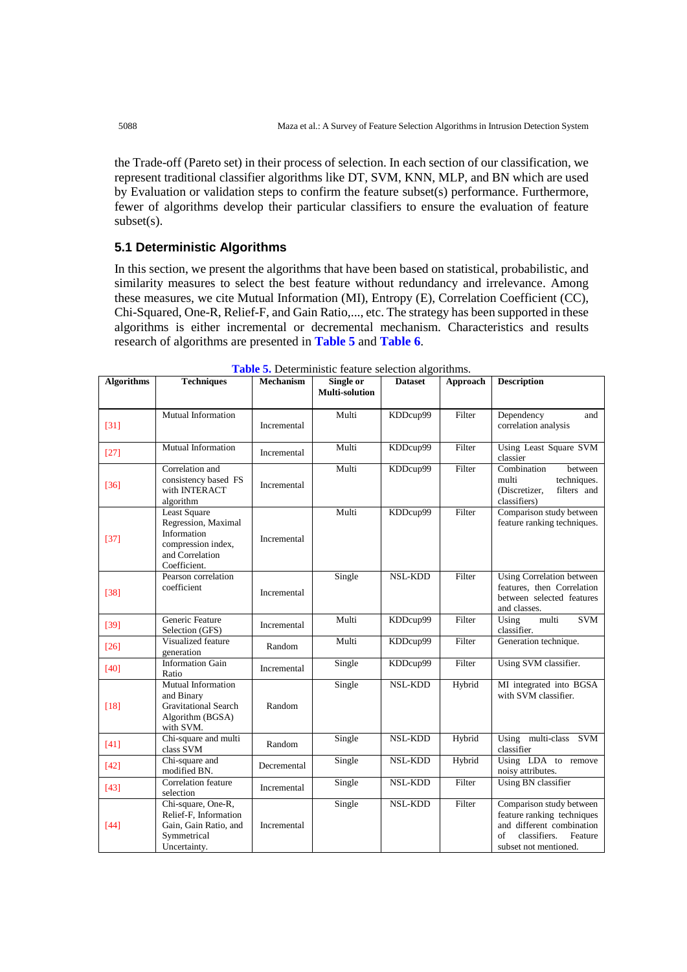the Trade-off (Pareto set) in their process of selection. In each section of our classification, we represent traditional classifier algorithms like DT, SVM, KNN, MLP, and BN which are used by Evaluation or validation steps to confirm the feature subset(s) performance. Furthermore, fewer of algorithms develop their particular classifiers to ensure the evaluation of feature subset(s).

# **5.1 Deterministic Algorithms**

In this section, we present the algorithms that have been based on statistical, probabilistic, and similarity measures to select the best feature without redundancy and irrelevance. Among these measures, we cite Mutual Information (MI), Entropy (E), Correlation Coefficient (CC), Chi-Squared, One-R, Relief-F, and Gain Ratio,..., etc. The strategy has been supported in these algorithms is either incremental or decremental mechanism. Characteristics and results research of algorithms are presented in **Table 5** and **Table 6**.

| <b>Algorithms</b> | <b>Techniques</b>                                                                                                  | <b>Mechanism</b> | Single or<br>Multi-solution | <b>Dataset</b> | Approach | <b>Description</b>                                                                                                                            |
|-------------------|--------------------------------------------------------------------------------------------------------------------|------------------|-----------------------------|----------------|----------|-----------------------------------------------------------------------------------------------------------------------------------------------|
| $[31]$            | Mutual Information                                                                                                 | Incremental      | Multi                       | KDDcup99       | Filter   | Dependency<br>and<br>correlation analysis                                                                                                     |
| $[27]$            | Mutual Information                                                                                                 | Incremental      | Multi                       | KDDcup99       | Filter   | Using Least Square SVM<br>classier                                                                                                            |
| $[36]$            | Correlation and<br>consistency based FS<br>with INTERACT<br>algorithm                                              | Incremental      | Multi                       | KDDcup99       | Filter   | Combination<br>between<br>multi<br>techniques.<br>(Discretizer,<br>filters and<br>classifiers)                                                |
| $[37]$            | <b>Least Square</b><br>Regression, Maximal<br>Information<br>compression index,<br>and Correlation<br>Coefficient. | Incremental      | Multi                       | KDDcup99       | Filter   | Comparison study between<br>feature ranking techniques.                                                                                       |
| $[38]$            | Pearson correlation<br>coefficient                                                                                 | Incremental      | Single                      | <b>NSL-KDD</b> | Filter   | Using Correlation between<br>features, then Correlation<br>between selected features<br>and classes.                                          |
| $[39]$            | Generic Feature<br>Selection (GFS)                                                                                 | Incremental      | Multi                       | KDDcup99       | Filter   | Using<br>multi<br><b>SVM</b><br>classifier.                                                                                                   |
| $[26]$            | Visualized feature<br>generation                                                                                   | Random           | Multi                       | KDDcup99       | Filter   | Generation technique.                                                                                                                         |
| [40]              | <b>Information Gain</b><br>Ratio                                                                                   | Incremental      | Single                      | KDDcup99       | Filter   | Using SVM classifier.                                                                                                                         |
| $[18]$            | Mutual Information<br>and Binary<br><b>Gravitational Search</b><br>Algorithm (BGSA)<br>with SVM.                   | Random           | Single                      | <b>NSL-KDD</b> | Hybrid   | MI integrated into BGSA<br>with SVM classifier.                                                                                               |
| $[41]$            | Chi-square and multi<br>class SVM                                                                                  | Random           | Single                      | <b>NSL-KDD</b> | Hybrid   | Using multi-class SVM<br>classifier                                                                                                           |
| $[42]$            | Chi-square and<br>modified BN.                                                                                     | Decremental      | Single                      | <b>NSL-KDD</b> | Hybrid   | Using LDA to remove<br>noisy attributes.                                                                                                      |
| $[43]$            | Correlation feature<br>selection                                                                                   | Incremental      | Single                      | <b>NSL-KDD</b> | Filter   | Using BN classifier                                                                                                                           |
| $[44]$            | Chi-square, One-R,<br>Relief-F, Information<br>Gain, Gain Ratio, and<br>Symmetrical<br>Uncertainty.                | Incremental      | Single                      | <b>NSL-KDD</b> | Filter   | Comparison study between<br>feature ranking techniques<br>and different combination<br>of<br>classifiers.<br>Feature<br>subset not mentioned. |

**Table 5.** Deterministic feature selection algorithms. **Dataset Approach Description**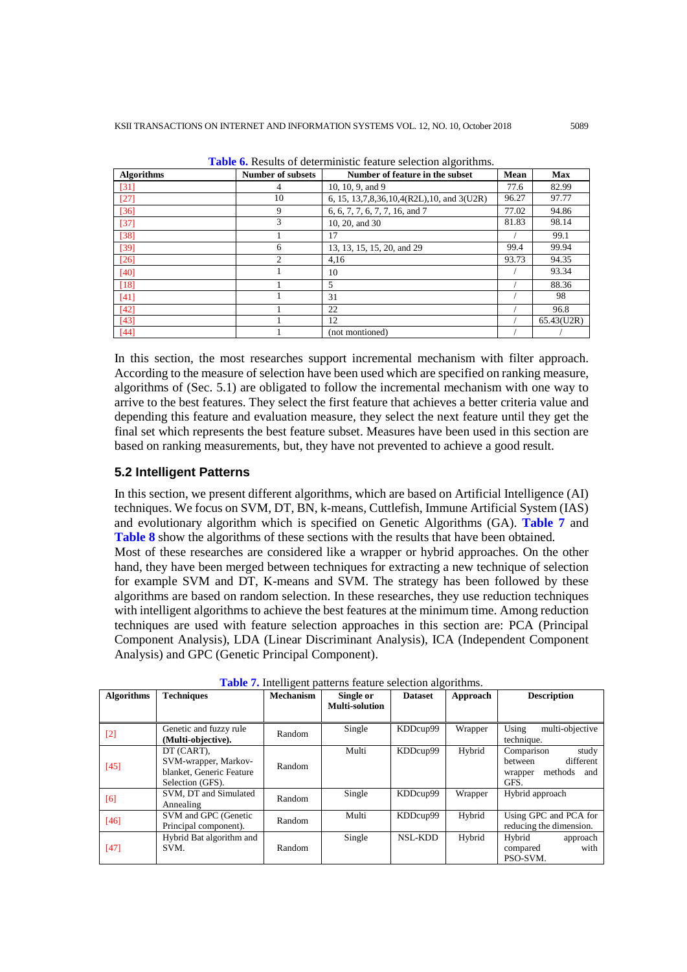| <b>Algorithms</b> | <b>Number of subsets</b> | Number of feature in the subset                   | Mean  | <b>Max</b> |
|-------------------|--------------------------|---------------------------------------------------|-------|------------|
| [31]              | 4                        | 10, 10, 9, and 9                                  | 77.6  | 82.99      |
| $[27]$            | 10                       | 6, 15, 13, 7, 8, 36, 10, 4 (R2L), 10, and 3 (U2R) | 96.27 | 97.77      |
| $[36]$            | 9                        | 6, 6, 7, 7, 6, 7, 7, 16, and 7                    | 77.02 | 94.86      |
| $[37]$            | 3                        | 10, 20, and 30                                    | 81.83 | 98.14      |
| [38]              |                          | 17                                                |       | 99.1       |
| $[39]$            | 6                        | 13, 13, 15, 15, 20, and 29                        | 99.4  | 99.94      |
| $[26]$            | $\mathcal{L}$            | 4,16                                              | 93.73 | 94.35      |
| [40]              |                          | 10                                                |       | 93.34      |
| [18]              |                          | 5                                                 |       | 88.36      |
| [41]              |                          | 31                                                |       | 98         |
| $[42]$            |                          | 22                                                |       | 96.8       |
| [43]              |                          | 12                                                |       | 65.43(U2R) |
| [44]              |                          | (not montioned)                                   |       |            |

**Table 6.** Results of deterministic feature selection algorithms.

In this section, the most researches support incremental mechanism with filter approach. According to the measure of selection have been used which are specified on ranking measure, algorithms of (Sec. 5.1) are obligated to follow the incremental mechanism with one way to arrive to the best features. They select the first feature that achieves a better criteria value and depending this feature and evaluation measure, they select the next feature until they get the final set which represents the best feature subset. Measures have been used in this section are based on ranking measurements, but, they have not prevented to achieve a good result.

# **5.2 Intelligent Patterns**

In this section, we present different algorithms, which are based on Artificial Intelligence (AI) techniques. We focus on SVM, DT, BN, k-means, Cuttlefish, Immune Artificial System (IAS) and evolutionary algorithm which is specified on Genetic Algorithms (GA). **Table 7** and **Table 8** show the algorithms of these sections with the results that have been obtained. Most of these researches are considered like a wrapper or hybrid approaches. On the other hand, they have been merged between techniques for extracting a new technique of selection for example SVM and DT, K-means and SVM. The strategy has been followed by these algorithms are based on random selection. In these researches, they use reduction techniques with intelligent algorithms to achieve the best features at the minimum time. Among reduction techniques are used with feature selection approaches in this section are: PCA (Principal Component Analysis), LDA (Linear Discriminant Analysis), ICA (Independent Component Analysis) and GPC (Genetic Principal Component).

| <b>Algorithms</b> | <b>Techniques</b>                                                                  | <b>Mechanism</b> | Single or<br>Multi-solution | <b>Dataset</b> | Approach | <b>Description</b>                                                               |
|-------------------|------------------------------------------------------------------------------------|------------------|-----------------------------|----------------|----------|----------------------------------------------------------------------------------|
| $[2]$             | Genetic and fuzzy rule<br>(Multi-objective).                                       | Random           | Single                      | KDDcup99       | Wrapper  | Using<br>multi-objective<br>technique.                                           |
| $[45]$            | DT (CART),<br>SVM-wrapper, Markov-<br>blanket, Generic Feature<br>Selection (GFS). | Random           | Multi                       | KDDcup99       | Hybrid   | Comparison<br>study<br>different<br>between<br>methods<br>and<br>wrapper<br>GFS. |
| [6]               | SVM, DT and Simulated<br>Annealing                                                 | Random           | Single                      | KDDcup99       | Wrapper  | Hybrid approach                                                                  |
| $[46]$            | SVM and GPC (Genetic<br>Principal component).                                      | Random           | Multi                       | KDDcup99       | Hybrid   | Using GPC and PCA for<br>reducing the dimension.                                 |
| [47]              | Hybrid Bat algorithm and<br>SVM.                                                   | Random           | Single                      | NSL-KDD        | Hybrid   | Hybrid<br>approach<br>with<br>compared<br>PSO-SVM.                               |

**Table 7.** Intelligent patterns feature selection algorithms.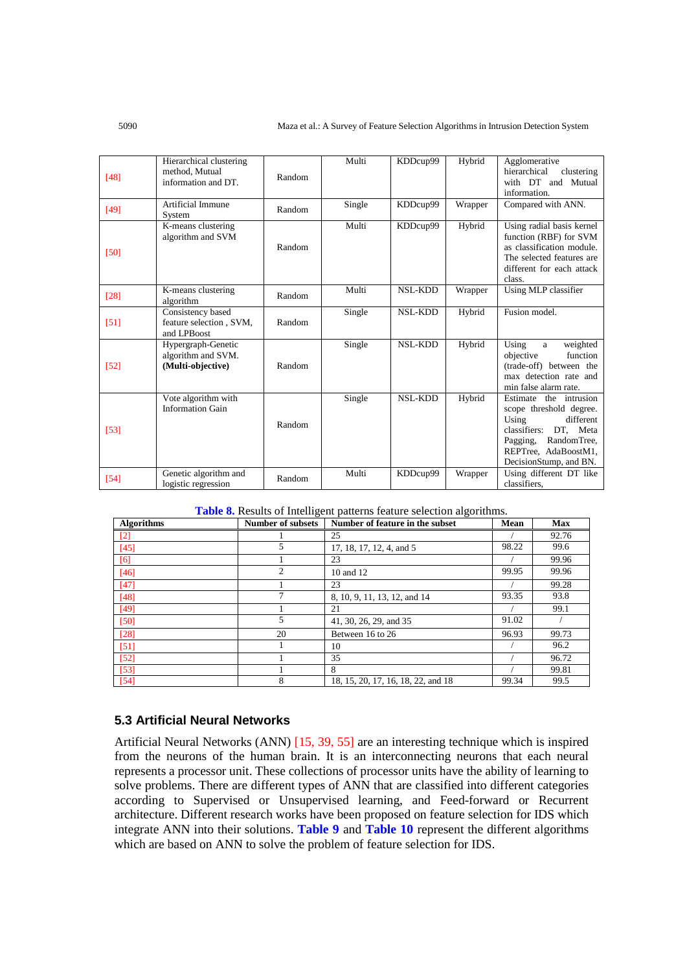| [48]   | Hierarchical clustering<br>method. Mutual<br>information and DT. | Random | Multi  | KDDcup99       | Hybrid  | Agglomerative<br>hierarchical<br>clustering<br>with DT and Mutual<br>information.                                                                                                |
|--------|------------------------------------------------------------------|--------|--------|----------------|---------|----------------------------------------------------------------------------------------------------------------------------------------------------------------------------------|
| $[49]$ | Artificial Immune<br>System                                      | Random | Single | KDDcup99       | Wrapper | Compared with ANN.                                                                                                                                                               |
| [50]   | K-means clustering<br>algorithm and SVM                          | Random | Multi  | KDDcup99       | Hybrid  | Using radial basis kernel<br>function (RBF) for SVM<br>as classification module.<br>The selected features are<br>different for each attack<br>class.                             |
| [28]   | K-means clustering<br>algorithm                                  | Random | Multi  | <b>NSL-KDD</b> | Wrapper | Using MLP classifier                                                                                                                                                             |
| [51]   | Consistency based<br>feature selection, SVM,<br>and LPBoost      | Random | Single | <b>NSL-KDD</b> | Hybrid  | Fusion model.                                                                                                                                                                    |
| [52]   | Hypergraph-Genetic<br>algorithm and SVM.<br>(Multi-objective)    | Random | Single | <b>NSL-KDD</b> | Hybrid  | Using<br>weighted<br>a<br>function<br>objective<br>(trade-off) between the<br>max detection rate and<br>min false alarm rate.                                                    |
| $[53]$ | Vote algorithm with<br><b>Information Gain</b>                   | Random | Single | <b>NSL-KDD</b> | Hybrid  | Estimate the intrusion<br>scope threshold degree.<br>Using<br>different<br>classifiers:<br>DT, Meta<br>RandomTree,<br>Pagging,<br>REPTree, AdaBoostM1,<br>DecisionStump, and BN. |
| [54]   | Genetic algorithm and<br>logistic regression                     | Random | Multi  | KDDcup99       | Wrapper | Using different DT like<br>classifiers.                                                                                                                                          |

| <b>Table 8.</b> Results of Intelligent patterns feature selection algorithms. |  |
|-------------------------------------------------------------------------------|--|
|-------------------------------------------------------------------------------|--|

| <b>Algorithms</b> | <b>Number of subsets</b> | Number of feature in the subset    | Mean  | <b>Max</b> |
|-------------------|--------------------------|------------------------------------|-------|------------|
| $\lceil 2 \rceil$ |                          | 25                                 |       | 92.76      |
| $[45]$            | 5                        | 17, 18, 17, 12, 4, and 5           | 98.22 | 99.6       |
| [6]               |                          | 23                                 |       | 99.96      |
| $[46]$            | $\overline{2}$           | 10 and 12                          | 99.95 | 99.96      |
| [47]              |                          | 23                                 |       | 99.28      |
| [48]              | 7                        | 8, 10, 9, 11, 13, 12, and 14       | 93.35 | 93.8       |
| [49]              |                          | 21                                 |       | 99.1       |
| [50]              | 5                        | 41, 30, 26, 29, and 35             | 91.02 |            |
| [28]              | 20                       | Between 16 to 26                   | 96.93 | 99.73      |
| [51]              |                          | 10                                 |       | 96.2       |
| $[52]$            |                          | 35                                 |       | 96.72      |
| $[53]$            |                          | 8                                  |       | 99.81      |
| [54]              | 8                        | 18, 15, 20, 17, 16, 18, 22, and 18 | 99.34 | 99.5       |

#### **5.3 Artificial Neural Networks**

Artificial Neural Networks (ANN) [15, 39, 55] are an interesting technique which is inspired from the neurons of the human brain. It is an interconnecting neurons that each neural represents a processor unit. These collections of processor units have the ability of learning to solve problems. There are different types of ANN that are classified into different categories according to Supervised or Unsupervised learning, and Feed-forward or Recurrent architecture. Different research works have been proposed on feature selection for IDS which integrate ANN into their solutions. **Table 9** and **Table 10** represent the different algorithms which are based on ANN to solve the problem of feature selection for IDS.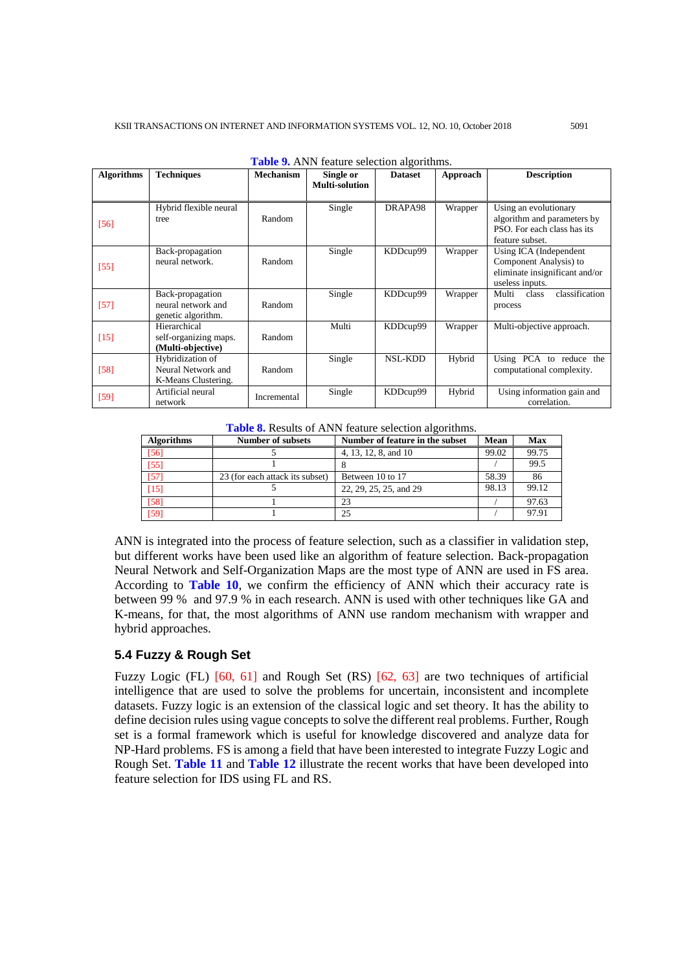| <b>Algorithms</b> | <b>Techniques</b>                                             | <b>Mechanism</b> | Single or<br>Multi-solution | <b>Dataset</b> | Approach | <b>Description</b>                                                                                     |
|-------------------|---------------------------------------------------------------|------------------|-----------------------------|----------------|----------|--------------------------------------------------------------------------------------------------------|
| [56]              | Hybrid flexible neural<br>tree                                | Random           | Single                      | DRAPA98        | Wrapper  | Using an evolutionary<br>algorithm and parameters by<br>PSO. For each class has its<br>feature subset. |
| $[55]$            | Back-propagation<br>neural network.                           | Random           | Single                      | KDDcup99       | Wrapper  | Using ICA (Independent<br>Component Analysis) to<br>eliminate insignificant and/or<br>useless inputs.  |
| $[57]$            | Back-propagation<br>neural network and<br>genetic algorithm.  | Random           | Single                      | KDDcup99       | Wrapper  | classification<br>Multi<br>class<br>process                                                            |
| $[15]$            | Hierarchical<br>self-organizing maps.<br>(Multi-objective)    | Random           | Multi                       | KDDcup99       | Wrapper  | Multi-objective approach.                                                                              |
| $[58]$            | Hybridization of<br>Neural Network and<br>K-Means Clustering. | Random           | Single                      | <b>NSL-KDD</b> | Hybrid   | Using PCA to reduce the<br>computational complexity.                                                   |
| $[59]$            | Artificial neural<br>network                                  | Incremental      | Single                      | KDDcup99       | Hybrid   | Using information gain and<br>correlation.                                                             |

**Table 9.** ANN feature selection algorithms.

|  |  |  |  |  | Table 8. Results of ANN feature selection algorithms. |
|--|--|--|--|--|-------------------------------------------------------|
|--|--|--|--|--|-------------------------------------------------------|

| <b>Algorithms</b> | Number of subsets               | Number of feature in the subset | Mean  | Max   |
|-------------------|---------------------------------|---------------------------------|-------|-------|
| $[56]$            |                                 | 4, 13, 12, 8, and 10            | 99.02 | 99.75 |
| $[55]$            |                                 |                                 |       | 99.5  |
| [57]              | 23 (for each attack its subset) | Between 10 to 17                | 58.39 | 86    |
| $[15]$            |                                 | 22, 29, 25, 25, and 29          | 98.13 | 99.12 |
| [58]              |                                 | 23                              |       | 97.63 |
| [59]              |                                 | 25                              |       | 97.91 |

ANN is integrated into the process of feature selection, such as a classifier in validation step, but different works have been used like an algorithm of feature selection. Back-propagation Neural Network and Self-Organization Maps are the most type of ANN are used in FS area. According to **Table 10**, we confirm the efficiency of ANN which their accuracy rate is between 99 % and 97.9 % in each research. ANN is used with other techniques like GA and K-means, for that, the most algorithms of ANN use random mechanism with wrapper and hybrid approaches.

## **5.4 Fuzzy & Rough Set**

Fuzzy Logic (FL) [60, 61] and Rough Set (RS) [62, 63] are two techniques of artificial intelligence that are used to solve the problems for uncertain, inconsistent and incomplete datasets. Fuzzy logic is an extension of the classical logic and set theory. It has the ability to define decision rules using vague concepts to solve the different real problems. Further, Rough set is a formal framework which is useful for knowledge discovered and analyze data for NP-Hard problems. FS is among a field that have been interested to integrate Fuzzy Logic and Rough Set. **Table 11** and **Table 12** illustrate the recent works that have been developed into feature selection for IDS using FL and RS.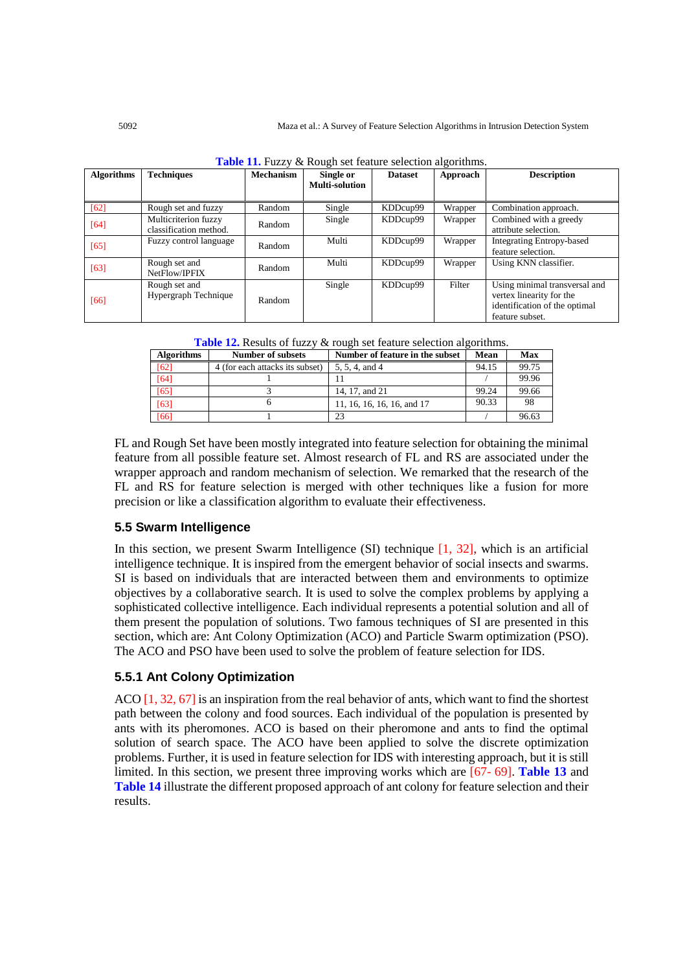| <b>Algorithms</b> | <b>Techniques</b>                              | <b>Mechanism</b> | <b>THOIC</b> 11, I GODY OF HOGGII SOI IOGHIU SOIOOHOII GIGOIHIIIDI.<br>Single or<br>Multi-solution | <b>Dataset</b> | Approach | <b>Description</b>                                                                                            |
|-------------------|------------------------------------------------|------------------|----------------------------------------------------------------------------------------------------|----------------|----------|---------------------------------------------------------------------------------------------------------------|
| $[62]$            | Rough set and fuzzy                            | Random           | Single                                                                                             | KDDcup99       | Wrapper  | Combination approach.                                                                                         |
| [64]              | Multicriterion fuzzy<br>classification method. | Random           | Single                                                                                             | KDDcup99       | Wrapper  | Combined with a greedy<br>attribute selection.                                                                |
| $[65]$            | Fuzzy control language                         | Random           | Multi                                                                                              | KDDcup99       | Wrapper  | <b>Integrating Entropy-based</b><br>feature selection.                                                        |
| $[63]$            | Rough set and<br>NetFlow/IPFIX                 | Random           | Multi                                                                                              | KDDcup99       | Wrapper  | Using KNN classifier.                                                                                         |
| [66]              | Rough set and<br>Hypergraph Technique          | Random           | Single                                                                                             | KDDcup99       | Filter   | Using minimal transversal and<br>vertex linearity for the<br>identification of the optimal<br>feature subset. |

|  |  |  |  | Table 11. Fuzzy & Rough set feature selection algorithms. |
|--|--|--|--|-----------------------------------------------------------|
|  |  |  |  |                                                           |

**Table 12.** Results of fuzzy & rough set feature selection algorithms.

| <b>Algorithms</b> | Number of subsets               | Number of feature in the subset | Mean  | <b>Max</b> |
|-------------------|---------------------------------|---------------------------------|-------|------------|
| [62]              | 4 (for each attacks its subset) | 5, 5, 4, and 4                  | 94.15 | 99.75      |
| [64]              |                                 |                                 |       | 99.96      |
| [65]              |                                 | 14, 17, and 21                  | 99.24 | 99.66      |
| [63]              |                                 | 11, 16, 16, 16, 16, and 17      | 90.33 | 98         |
| [66]              |                                 | 23                              |       | 96.63      |

FL and Rough Set have been mostly integrated into feature selection for obtaining the minimal feature from all possible feature set. Almost research of FL and RS are associated under the wrapper approach and random mechanism of selection. We remarked that the research of the FL and RS for feature selection is merged with other techniques like a fusion for more precision or like a classification algorithm to evaluate their effectiveness.

## **5.5 Swarm Intelligence**

In this section, we present Swarm Intelligence (SI) technique  $[1, 32]$ , which is an artificial intelligence technique. It is inspired from the emergent behavior of social insects and swarms. SI is based on individuals that are interacted between them and environments to optimize objectives by a collaborative search. It is used to solve the complex problems by applying a sophisticated collective intelligence. Each individual represents a potential solution and all of them present the population of solutions. Two famous techniques of SI are presented in this section, which are: Ant Colony Optimization (ACO) and Particle Swarm optimization (PSO). The ACO and PSO have been used to solve the problem of feature selection for IDS.

## **5.5.1 Ant Colony Optimization**

ACO  $\left[1, 32, 67\right]$  is an inspiration from the real behavior of ants, which want to find the shortest path between the colony and food sources. Each individual of the population is presented by ants with its pheromones. ACO is based on their pheromone and ants to find the optimal solution of search space. The ACO have been applied to solve the discrete optimization problems. Further, it is used in feature selection for IDS with interesting approach, but it is still limited. In this section, we present three improving works which are [67- 69]. **Table 13** and **Table 14** illustrate the different proposed approach of ant colony for feature selection and their results.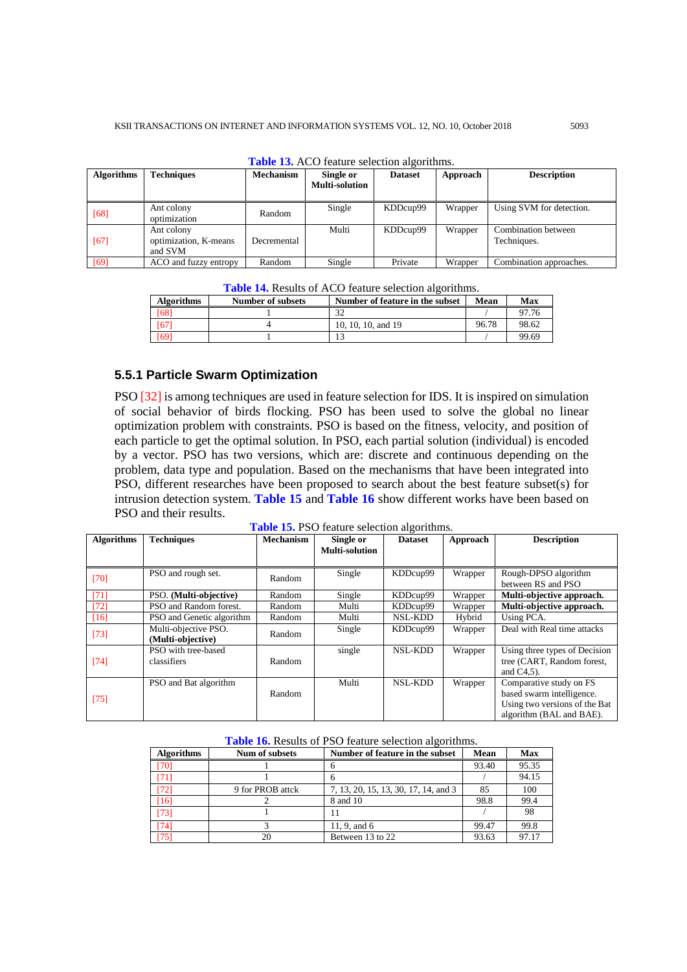| <b>Algorithms</b> | <b>Techniques</b>                              | <b>Mechanism</b> | Single or<br><b>Multi-solution</b> | <b>Dataset</b> | Approach | <b>Description</b>                 |
|-------------------|------------------------------------------------|------------------|------------------------------------|----------------|----------|------------------------------------|
| [68]              | Ant colony<br>optimization                     | Random           | Single                             | KDDcup99       | Wrapper  | Using SVM for detection.           |
| [67]              | Ant colony<br>optimization, K-means<br>and SVM | Decremental      | Multi                              | KDDcup99       | Wrapper  | Combination between<br>Techniques. |
| $[69]$            | ACO and fuzzy entropy                          | Random           | Single                             | Private        | Wrapper  | Combination approaches.            |

**Table 13.** ACO feature selection algorithm

| <b>Table 14.</b> Results of ACO feature selection algorithms. |  |
|---------------------------------------------------------------|--|
|---------------------------------------------------------------|--|

| <b>Algorithms</b> | Number of subsets | Number of feature in the subset | Mean  | Max   |
|-------------------|-------------------|---------------------------------|-------|-------|
| [68]              |                   | $\Omega$                        |       | 97.76 |
| [67]              |                   | 10, 10, 10, and 19              | 96.78 | 98.62 |
| [69]              |                   |                                 |       | 99.69 |

#### **5.5.1 Particle Swarm Optimization**

PSO [32] is among techniques are used in feature selection for IDS. It is inspired on simulation of social behavior of birds flocking. PSO has been used to solve the global no linear optimization problem with constraints. PSO is based on the fitness, velocity, and position of each particle to get the optimal solution. In PSO, each partial solution (individual) is encoded by a vector. PSO has two versions, which are: discrete and continuous depending on the problem, data type and population. Based on the mechanisms that have been integrated into PSO, different researches have been proposed to search about the best feature subset(s) for intrusion detection system. **Table 15** and **Table 16** show different works have been based on PSO and their results.

**Table 15.** PSO feature selection algorithms.

| <b>Algorithms</b> | <b>Techniques</b>         | <b>Mechanism</b> | Single or<br><b>Multi-solution</b> | <b>Dataset</b> | Approach | <b>Description</b>            |
|-------------------|---------------------------|------------------|------------------------------------|----------------|----------|-------------------------------|
|                   |                           |                  |                                    |                |          |                               |
| [70]              | PSO and rough set.        | Random           | Single                             | KDDcup99       | Wrapper  | Rough-DPSO algorithm          |
|                   |                           |                  |                                    |                |          | between RS and PSO            |
| $[71]$            | PSO. (Multi-objective)    | Random           | Single                             | KDDcup99       | Wrapper  | Multi-objective approach.     |
| [72]              | PSO and Random forest.    | Random           | Multi                              | KDDcup99       | Wrapper  | Multi-objective approach.     |
| [16]              | PSO and Genetic algorithm | Random           | Multi                              | <b>NSL-KDD</b> | Hybrid   | Using PCA.                    |
|                   | Multi-objective PSO.      | Random           | Single                             | KDDcup99       | Wrapper  | Deal with Real time attacks   |
| $[73]$            | (Multi-objective)         |                  |                                    |                |          |                               |
|                   | PSO with tree-based       |                  | single                             | <b>NSL-KDD</b> | Wrapper  | Using three types of Decision |
| $[74]$            | classifiers               | Random           |                                    |                |          | tree (CART, Random forest,    |
|                   |                           |                  |                                    |                |          | and $C4,5$ ).                 |
|                   | PSO and Bat algorithm     |                  | Multi                              | <b>NSL-KDD</b> | Wrapper  | Comparative study on FS       |
|                   |                           | Random           |                                    |                |          | based swarm intelligence.     |
| $[75]$            |                           |                  |                                    |                |          | Using two versions of the Bat |
|                   |                           |                  |                                    |                |          | algorithm (BAL and BAE).      |

| <b>Table 16.</b> Results of PSO feature selection algorithms. |  |
|---------------------------------------------------------------|--|
|---------------------------------------------------------------|--|

| <b>Algorithms</b> | Num of subsets   | Number of feature in the subset      | Mean  | <b>Max</b> |
|-------------------|------------------|--------------------------------------|-------|------------|
| [70]              |                  |                                      | 93.40 | 95.35      |
| 1711              |                  | n                                    |       | 94.15      |
| 721               | 9 for PROB attck | 7, 13, 20, 15, 13, 30, 17, 14, and 3 | 85    | 100        |
| 161               |                  | 8 and 10                             | 98.8  | 99.4       |
| [73]              |                  |                                      |       | 98         |
| [74]              |                  | 11, 9, and $6$                       | 99.47 | 99.8       |
| [75]              | 20               | Between 13 to 22                     | 93.63 | 97.17      |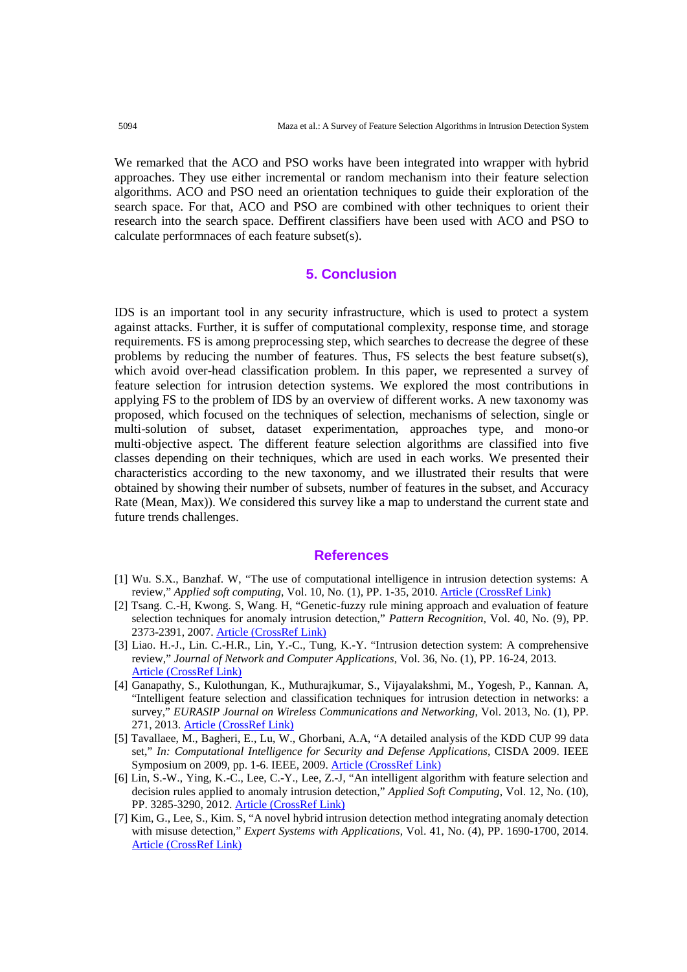We remarked that the ACO and PSO works have been integrated into wrapper with hybrid approaches. They use either incremental or random mechanism into their feature selection algorithms. ACO and PSO need an orientation techniques to guide their exploration of the search space. For that, ACO and PSO are combined with other techniques to orient their research into the search space. Deffirent classifiers have been used with ACO and PSO to calculate performnaces of each feature subset(s).

# **5. Conclusion**

IDS is an important tool in any security infrastructure, which is used to protect a system against attacks. Further, it is suffer of computational complexity, response time, and storage requirements. FS is among preprocessing step, which searches to decrease the degree of these problems by reducing the number of features. Thus, FS selects the best feature subset(s), which avoid over-head classification problem. In this paper, we represented a survey of feature selection for intrusion detection systems. We explored the most contributions in applying FS to the problem of IDS by an overview of different works. A new taxonomy was proposed, which focused on the techniques of selection, mechanisms of selection, single or multi-solution of subset, dataset experimentation, approaches type, and mono-or multi-objective aspect. The different feature selection algorithms are classified into five classes depending on their techniques, which are used in each works. We presented their characteristics according to the new taxonomy, and we illustrated their results that were obtained by showing their number of subsets, number of features in the subset, and Accuracy Rate (Mean, Max)). We considered this survey like a map to understand the current state and future trends challenges.

#### **References**

- [1] Wu. S.X., Banzhaf. W, "The use of computational intelligence in intrusion detection systems: A review," *Applied soft computing*, Vol. 10, No. (1), PP. 1-35, 201[0.](https://doi.org/10.1016/j.asoc.2009.06.019) [Article \(CrossRef Link\)](https://doi.org/10.1016/j.asoc.2009.06.019)
- [2] Tsang. C.-H, Kwong. S, Wang. H, "Genetic-fuzzy rule mining approach and evaluation of feature selection techniques for anomaly intrusion detection," *Pattern Recognition*, Vol. 40, No. (9), PP. 2373-2391, 2007. [Article \(CrossRef Link\)](https://doi.org/10.1016/j.patcog.2006.12.009)
- [3] Liao. H.-J., Lin. C.-H.R., Lin, Y.-C., Tung, K.-Y. "Intrusion detection system: A comprehensive review," *Journal of Network and Computer Applications*, Vol. 36, No. (1), PP. 16-24, 2013. [Article \(CrossRef Link\)](https://doi.org/10.1016/j.jnca.2012.09.004)
- [4] Ganapathy, S., Kulothungan, K., Muthurajkumar, S., Vijayalakshmi, M., Yogesh, P., Kannan. A, "Intelligent feature selection and classification techniques for intrusion detection in networks: a survey," *EURASIP Journal on Wireless Communications and Networking*, Vol. 2013, No. (1), PP. 271, 2013. [Article \(CrossRef Link\)](https://doi.org/10.1186/1687-1499-2013-271)
- [5] Tavallaee, M., Bagheri, E., Lu, W., Ghorbani, A.A, "A detailed analysis of the KDD CUP 99 data set," *In: Computational Intelligence for Security and Defense Applications*, CISDA 2009. IEEE Symposium on 2009, pp. 1-6. IEEE, 2009. [Article \(CrossRef Link\)](https://doi.org/10.1109/CISDA.2009.5356528)
- [6] Lin, S.-W., Ying, K.-C., Lee, C.-Y., Lee, Z.-J, "An intelligent algorithm with feature selection and decision rules applied to anomaly intrusion detection," *Applied Soft Computing*, Vol. 12, No. (10), PP. 3285-3290, 2012. [Article \(CrossRef Link\)](https://doi.org/10.1016/j.asoc.2012.05.004)
- [7] Kim, G., Lee, S., Kim. S, "A novel hybrid intrusion detection method integrating anomaly detection with misuse detection," *Expert Systems with Applications*, Vol. 41, No. (4), PP. 1690-1700, 2014. [Article \(CrossRef Link\)](https://doi.org/10.1016/j.eswa.2013.08.066)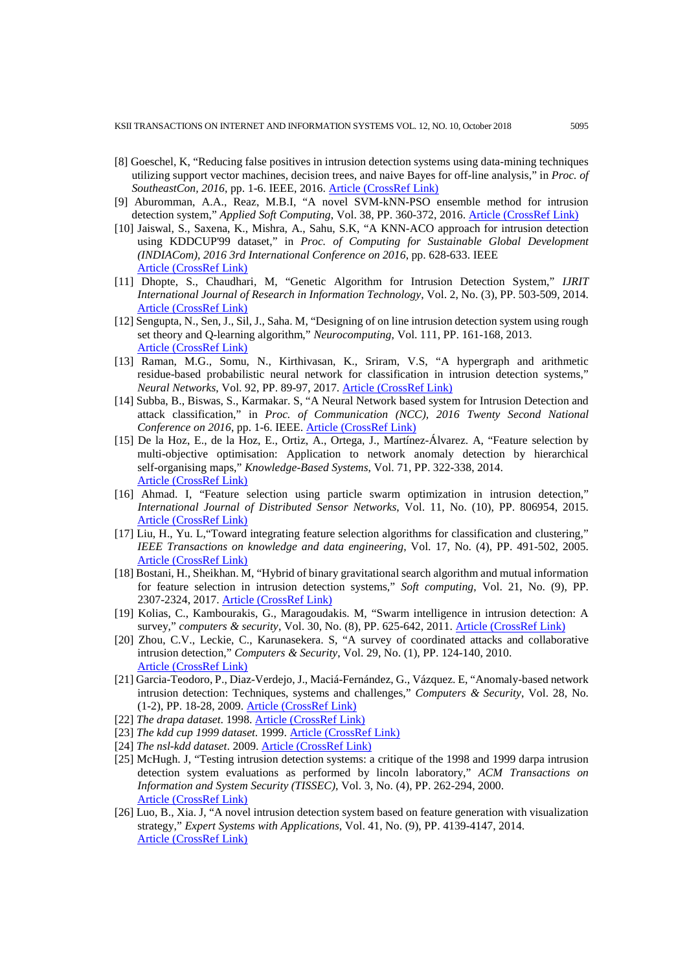- [8] Goeschel, K, "Reducing false positives in intrusion detection systems using data-mining techniques utilizing support vector machines, decision trees, and naive Bayes for off-line analysis," in *Proc. of SoutheastCon, 2016*, pp. 1-6. IEEE, 2016. [Article \(CrossRef Link\)](https://doi.org/10.1109/SECON.2016.7506774)
- [9] Aburomman, A.A., Reaz, M.B.I, "A novel SVM-kNN-PSO ensemble method for intrusion detection system," *Applied Soft Computing*, Vol. 38, PP. 360-372, 2016. [Article \(CrossRef Link\)](https://doi.org/10.1016/j.asoc.2015.10.011)
- [10] Jaiswal, S., Saxena, K., Mishra, A., Sahu, S.K, "A KNN-ACO approach for intrusion detection using KDDCUP'99 dataset," in *Proc. of Computing for Sustainable Global Development (INDIACom), 2016 3rd International Conference on 2016*, pp. 628-633. IEEE [Article \(CrossRef Link\)](https://ieeexplore.ieee.org/abstract/document/7724339/)
- [11] Dhopte, S., Chaudhari, M, "Genetic Algorithm for Intrusion Detection System," *IJRIT International Journal of Research in Information Technology*, Vol. 2, No. (3), PP. 503-509, 2014. [Article \(CrossRef Link\)](https://doi.org/10.1109/SIU.2016.7495996)
- [12] Sengupta, N., Sen, J., Sil, J., Saha. M, "Designing of on line intrusion detection system using rough set theory and Q-learning algorithm," *Neurocomputing*, Vol. 111, PP. 161-168, 2013. [Article \(CrossRef Link\)](https://doi.org/10.1016/j.neucom.2012.12.023)
- [13] Raman, M.G., Somu, N., Kirthivasan, K., Sriram, V.S, "A hypergraph and arithmetic residue-based probabilistic neural network for classification in intrusion detection systems," *Neural Networks*, Vol. 92, PP. 89-97, 2017. [Article \(CrossRef Link\)](https://doi.org/10.1016/j.neunet.2017.01.012)
- [14] Subba, B., Biswas, S., Karmakar. S, "A Neural Network based system for Intrusion Detection and attack classification," in *Proc. of Communication (NCC), 2016 Twenty Second National Conference on 2016*, pp. 1-6. IEEE. [Article \(CrossRef Link\)](https://doi.org/10.1109/NCC.2016.7561088)
- [15] De la Hoz, E., de la Hoz, E., Ortiz, A., Ortega, J., Martínez-Álvarez. A, "Feature selection by multi-objective optimisation: Application to network anomaly detection by hierarchical self-organising maps," *Knowledge-Based Systems*, Vol. 71, PP. 322-338, 2014. [Article \(CrossRef Link\)](https://doi.org/10.1016/j.knosys.2014.08.013)
- [16] Ahmad. I, "Feature selection using particle swarm optimization in intrusion detection," *International Journal of Distributed Sensor Networks*, Vol. 11, No. (10), PP. 806954, 2015. [Article \(CrossRef Link\)](https://doi.org/10.1155/2015/806954)
- [17] Liu, H., Yu. L,"Toward integrating feature selection algorithms for classification and clustering," *IEEE Transactions on knowledge and data engineering*, Vol. 17, No. (4), PP. 491-502, 2005. [Article \(CrossRef Link\)](https://doi.org/10.1109/TKDE.2005.66)
- [18] Bostani, H., Sheikhan. M, "Hybrid of binary gravitational search algorithm and mutual information for feature selection in intrusion detection systems," *Soft computing*, Vol. 21, No. (9), PP. 2307-2324, 2017. [Article \(CrossRef Link\)](https://doi.org/10.1007/s00500-015-1942-8)
- [19] Kolias, C., Kambourakis, G., Maragoudakis. M, "Swarm intelligence in intrusion detection: A survey," *computers & security*, Vol. 30, No. (8), PP. 625-642, 2011. [Article \(CrossRef Link\)](https://doi.org/10.1016/j.cose.2011.08.009)
- [20] Zhou, C.V., Leckie, C., Karunasekera. S, "A survey of coordinated attacks and collaborative intrusion detection," *Computers & Security*, Vol. 29, No. (1), PP. 124-140, 2010. [Article \(CrossRef Link\)](https://doi.org/10.1016/j.cose.2009.06.008)
- [21] Garcia-Teodoro, P., Diaz-Verdejo, J., Maciá-Fernández, G., Vázquez. E, "Anomaly-based network intrusion detection: Techniques, systems and challenges," *Computers & Security*, Vol. 28, No. (1-2), PP. 18-28, 2009. [Article \(CrossRef Link\)](https://doi.org/10.1016/j.cose.2008.08.003)
- [22] *The drapa dataset*. 1998. [Article \(CrossRef Link\)](https://www.ll.mit.edu/ideval/data/)
- [23] *The kdd cup 1999 dataset*. 1999. [Article \(CrossRef Link\)](http://kdd.ics.uci.edu/databases/kddcup99/kddcup99)
- [24] *The nsl-kdd dataset*. 2009[. Article \(CrossRef Link\)](http://nsl.cs.unb.ca/nsl-kdd/)
- [25] McHugh. J, "Testing intrusion detection systems: a critique of the 1998 and 1999 darpa intrusion detection system evaluations as performed by lincoln laboratory," *ACM Transactions on Information and System Security (TISSEC)*, Vol. 3, No. (4), PP. 262-294, 2000. [Article \(CrossRef Link\)](https://doi.org/10.1145/382912.382923)
- [26] Luo, B., Xia. J, "A novel intrusion detection system based on feature generation with visualization strategy," *Expert Systems with Applications*, Vol. 41, No. (9), PP. 4139-4147, 2014. [Article \(CrossRef Link\)](https://doi.org/10.1016/j.eswa.2013.12.048)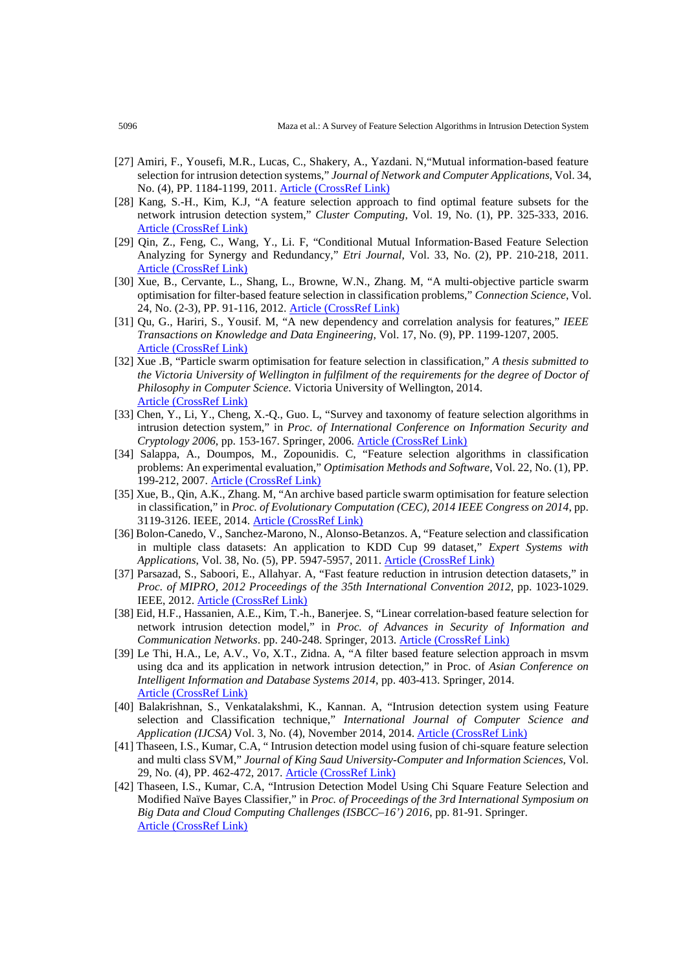- [27] Amiri, F., Yousefi, M.R., Lucas, C., Shakery, A., Yazdani. N,"Mutual information-based feature selection for intrusion detection systems," *Journal of Network and Computer Applications*, Vol. 34, No. (4), PP. 1184-1199, 2011. [Article \(CrossRef Link\)](https://doi.org/10.1016/j.jnca.2011.01.002)
- [28] Kang, S.-H., Kim, K.J, "A feature selection approach to find optimal feature subsets for the network intrusion detection system," *Cluster Computing*, Vol. 19, No. (1), PP. 325-333, 2016. [Article \(CrossRef Link\)](https://doi.org/10.1007/s10586-015-0527-8)
- [29] Qin, Z., Feng, C., Wang, Y., Li. F, "Conditional Mutual Information‐Based Feature Selection Analyzing for Synergy and Redundancy," *Etri Journal*, Vol. 33, No. (2), PP. 210-218, 2011. [Article \(CrossRef Link\)](https://doi.org/10.4218/etrij.11.0110.0237)
- [30] Xue, B., Cervante, L., Shang, L., Browne, W.N., Zhang. M, "A multi-objective particle swarm optimisation for filter-based feature selection in classification problems," *Connection Science*, Vol. 24, No. (2-3), PP. 91-116, 2012. [Article \(CrossRef Link\)](https://doi.org/10.1080/09540091.2012.737765)
- [31] Qu, G., Hariri, S., Yousif. M, "A new dependency and correlation analysis for features," *IEEE Transactions on Knowledge and Data Engineering*, Vol. 17, No. (9), PP. 1199-1207, 2005. [Article \(CrossRef Link\)](https://doi.org/10.1109/TKDE.2005.136)
- [32] Xue .B, "Particle swarm optimisation for feature selection in classification," *A thesis submitted to the Victoria University of Wellington in fulfilment of the requirements for the degree of Doctor of Philosophy in Computer Science*. Victoria University of Wellington, 2014. [Article \(CrossRef Link\)](https://pdfs.semanticscholar.org/5924/155608d663934ac9edae3213e21f3e11a4c5.pdf)
- [33] Chen, Y., Li, Y., Cheng, X.-Q., Guo. L, "Survey and taxonomy of feature selection algorithms in intrusion detection system," in *Proc. of International Conference on Information Security and Cryptology 2006*, pp. 153-167. Springer, 2006. [Article \(CrossRef Link\)](https://doi.org/10.1007/11937807_13)
- [34] Salappa, A., Doumpos, M., Zopounidis. C, "Feature selection algorithms in classification problems: An experimental evaluation," *Optimisation Methods and Software*, Vol. 22, No. (1), PP. 199-212, 2007. [Article \(CrossRef Link\)](https://doi.org/10.1080/10556780600881910)
- [35] Xue, B., Qin, A.K., Zhang. M, "An archive based particle swarm optimisation for feature selection in classification," in *Proc. of Evolutionary Computation (CEC), 2014 IEEE Congress on 2014*, pp. 3119-3126. IEEE, 2014. [Article \(CrossRef Link\)](https://doi.org/10.1109/CEC.2014.6900472)
- [36] Bolon-Canedo, V., Sanchez-Marono, N., Alonso-Betanzos. A, "Feature selection and classification in multiple class datasets: An application to KDD Cup 99 dataset," *Expert Systems with Applications*, Vol. 38, No. (5), PP. 5947-5957, 2011. [Article \(CrossRef Link\)](https://doi.org/10.1016/j.eswa.2010.11.028)
- [37] Parsazad, S., Saboori, E., Allahyar. A, "Fast feature reduction in intrusion detection datasets," in *Proc. of MIPRO, 2012 Proceedings of the 35th International Convention 2012*, pp. 1023-1029. IEEE, 2012. [Article \(CrossRef Link\)](https://ieeexplore.ieee.org/abstract/document/6240794/)
- [38] Eid, H.F., Hassanien, A.E., Kim, T.-h., Banerjee. S, "Linear correlation-based feature selection for network intrusion detection model," in *Proc. of Advances in Security of Information and Communication Networks*. pp. 240-248. Springer, 2013. [Article \(CrossRef Link\)](https://doi.org/10.1007/978-3-642-40597-6_21)
- [39] Le Thi, H.A., Le, A.V., Vo, X.T., Zidna. A, "A filter based feature selection approach in msvm using dca and its application in network intrusion detection," in Proc. of *Asian Conference on Intelligent Information and Database Systems 2014*, pp. 403-413. Springer, 2014. [Article \(CrossRef Link\)](https://doi.org/10.1007/978-3-319-05458-2_42)
- [40] Balakrishnan, S., Venkatalakshmi, K., Kannan. A, "Intrusion detection system using Feature selection and Classification technique," *International Journal of Computer Science and Application (IJCSA)* Vol. 3, No. (4), November 2014, 2014. [Article \(CrossRef Link\)](http://dpi-journals.com/index.php/IJCSA/article/view/775/643)
- [41] Thaseen, I.S., Kumar, C.A, " Intrusion detection model using fusion of chi-square feature selection and multi class SVM," *Journal of King Saud University-Computer and Information Sciences*, Vol. 29, No. (4), PP. 462-472, 2017. [Article \(CrossRef Link\)](https://doi.org/10.1016/j.jksuci.2015.12.004)
- [42] Thaseen, I.S., Kumar, C.A, "Intrusion Detection Model Using Chi Square Feature Selection and Modified Naïve Bayes Classifier," in *Proc. of Proceedings of the 3rd International Symposium on Big Data and Cloud Computing Challenges (ISBCC–16') 2016*, pp. 81-91. Springer. [Article \(CrossRef Link\)](https://doi.org/10.1007/978-3-319-30348-2_7)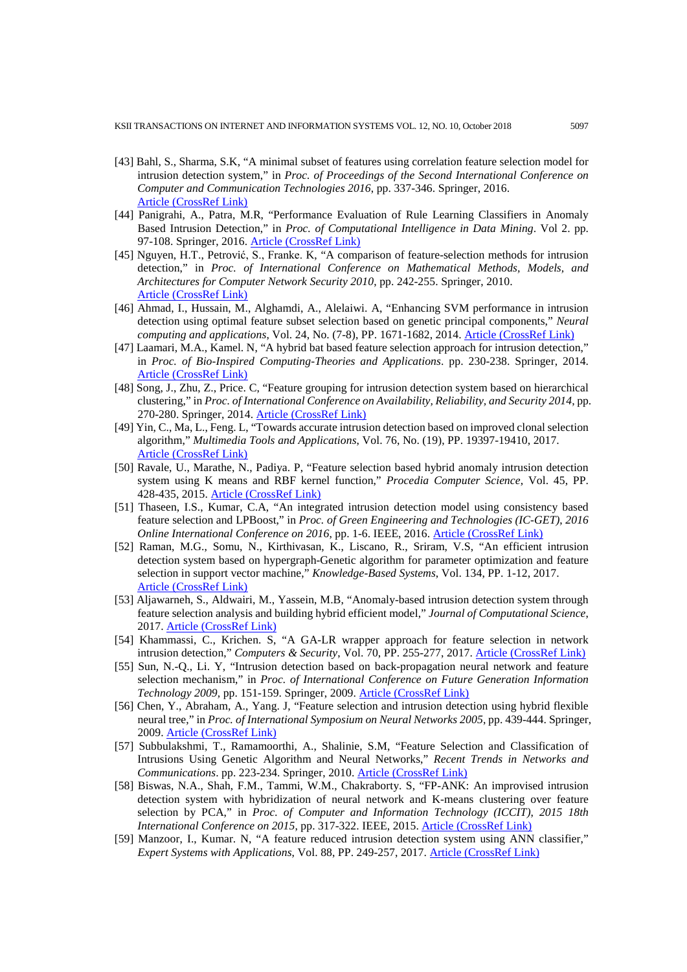- [43] Bahl, S., Sharma, S.K, "A minimal subset of features using correlation feature selection model for intrusion detection system," in *Proc. of Proceedings of the Second International Conference on Computer and Communication Technologies 2016*, pp. 337-346. Springer, 2016. [Article \(CrossRef Link\)](https://doi.org/10.1007/978-81-322-2523-2_32)
- [44] Panigrahi, A., Patra, M.R, "Performance Evaluation of Rule Learning Classifiers in Anomaly Based Intrusion Detection," in *Proc. of Computational Intelligence in Data Mining*. Vol 2. pp. 97-108. Springer, 2016. [Article \(CrossRef Link\)](https://doi.org/10.1007/978-81-322-2731-1_9)
- [45] Nguyen, H.T., Petrović, S., Franke. K, "A comparison of feature-selection methods for intrusion detection," in *Proc. of International Conference on Mathematical Methods, Models, and Architectures for Computer Network Security 2010*, pp. 242-255. Springer, 2010. [Article \(CrossRef Link\)](https://doi.org/10.1007/978-3-642-14706-7_19)
- [46] Ahmad, I., Hussain, M., Alghamdi, A., Alelaiwi. A, "Enhancing SVM performance in intrusion detection using optimal feature subset selection based on genetic principal components," *Neural computing and applications*, Vol. 24, No. (7-8), PP. 1671-1682, 2014. **[Article \(CrossRef Link\)](https://doi.org/10.1007/s00521-013-1370-6)**
- [47] Laamari, M.A., Kamel. N, "A hybrid bat based feature selection approach for intrusion detection," in *Proc. of Bio-Inspired Computing-Theories and Applications*. pp. 230-238. Springer, 2014. [Article \(CrossRef Link\)](https://doi.org/10.1007/978-3-662-45049-9_38)
- [48] Song, J., Zhu, Z., Price. C, "Feature grouping for intrusion detection system based on hierarchical clustering," in *Proc. of International Conference on Availability, Reliability, and Security 2014*, pp. 270-280. Springer, 2014. [Article \(CrossRef Link\)](https://doi.org/10.1007/978-3-319-10975-6_21)
- [49] Yin, C., Ma, L., Feng. L, "Towards accurate intrusion detection based on improved clonal selection algorithm," *Multimedia Tools and Applications*, Vol. 76, No. (19), PP. 19397-19410, 2017. [Article \(CrossRef Link\)](https://doi.org/10.1007/s11042-015-3117-0)
- [50] Ravale, U., Marathe, N., Padiya. P, "Feature selection based hybrid anomaly intrusion detection system using K means and RBF kernel function," *Procedia Computer Science*, Vol. 45, PP. 428-435, 2015. [Article \(CrossRef Link\)](https://doi.org/10.1016/j.procs.2015.03.174)
- [51] Thaseen, I.S., Kumar, C.A, "An integrated intrusion detection model using consistency based feature selection and LPBoost," in *Proc. of Green Engineering and Technologies (IC-GET)*, *2016 Online International Conference on 2016*, pp. 1-6. IEEE, 2016. [Article \(CrossRef Link\)](https://doi.org/10.1109/GET.2016.7916729)
- [52] Raman, M.G., Somu, N., Kirthivasan, K., Liscano, R., Sriram, V.S, "An efficient intrusion detection system based on hypergraph-Genetic algorithm for parameter optimization and feature selection in support vector machine," *Knowledge-Based Systems*, Vol. 134, PP. 1-12, 2017. [Article \(CrossRef Link\)](https://doi.org/10.1016/j.knosys.2017.07.005)
- [53] Aljawarneh, S., Aldwairi, M., Yassein, M.B, "Anomaly-based intrusion detection system through feature selection analysis and building hybrid efficient model," *Journal of Computational Science*, 2017. [Article \(CrossRef Link\)](https://doi.org/10.1016/j.jocs.2017.03.006)
- [54] Khammassi, C., Krichen. S, "A GA-LR wrapper approach for feature selection in network intrusion detection," *Computers & Security*, Vol. 70, PP. 255-277, 2017. [Article \(CrossRef Link\)](https://doi.org/10.1016/j.cose.2017.06.005)
- [55] Sun, N.-Q., Li. Y, "Intrusion detection based on back-propagation neural network and feature selection mechanism," in *Proc. of International Conference on Future Generation Information Technology 2009,* pp. 151-159. Springer, 2009. [Article \(CrossRef Link\)](https://doi.org/10.1007/978-3-642-10509-8_18)
- [56] Chen, Y., Abraham, A., Yang. J, "Feature selection and intrusion detection using hybrid flexible neural tree," in *Proc. of International Symposium on Neural Networks 2005*, pp. 439-444. Springer, 2009. [Article \(CrossRef Link\)](https://doi.org/10.1007/11427469_71)
- [57] Subbulakshmi, T., Ramamoorthi, A., Shalinie, S.M, "Feature Selection and Classification of Intrusions Using Genetic Algorithm and Neural Networks," *Recent Trends in Networks and Communications*. pp. 223-234. Springer, 2010. [Article \(CrossRef Link\)](https://doi.org/10.1007/978-3-642-14493-6_24)
- [58] Biswas, N.A., Shah, F.M., Tammi, W.M., Chakraborty. S, "FP-ANK: An improvised intrusion detection system with hybridization of neural network and K-means clustering over feature selection by PCA," in *Proc. of Computer and Information Technology (ICCIT)*, *2015 18th International Conference on 2015*, pp. 317-322. IEEE, 2015. [Article \(CrossRef Link\)](https://doi.org/10.1109/ICCITechn.2015.7488089)
- [59] Manzoor, I., Kumar. N, "A feature reduced intrusion detection system using ANN classifier," *Expert Systems with Applications*, Vol. 88, PP. 249-257, 2017. [Article \(CrossRef Link\)](https://doi.org/10.1016/j.eswa.2017.07.005)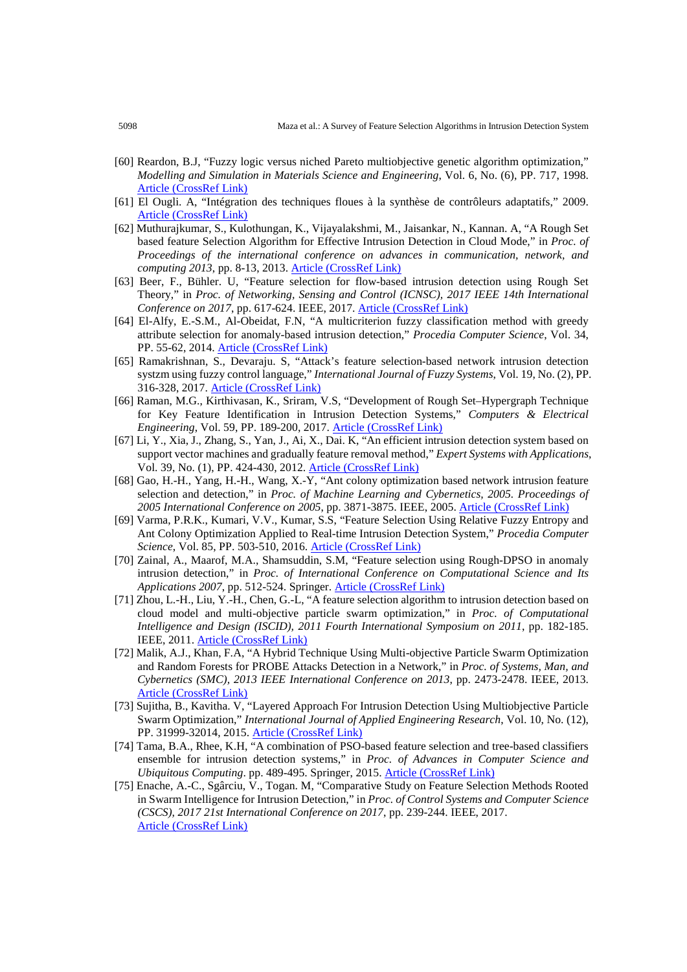- [60] Reardon, B.J, "Fuzzy logic versus niched Pareto multiobjective genetic algorithm optimization," *Modelling and Simulation in Materials Science and Engineering*, Vol. 6, No. (6), PP. 717, 1998. Article [\(CrossRef](https://doi.org/10.1088/0965-0393/6/6/004) Link)
- [61] El Ougli. A, "Intégration des techniques floues à la synthèse de contrôleurs adaptatifs," 2009. [Article \(CrossRef Link\)](http://toubkal.imist.ma/handle/123456789/5637)
- [62] Muthurajkumar, S., Kulothungan, K., Vijayalakshmi, M., Jaisankar, N., Kannan. A, "A Rough Set based feature Selection Algorithm for Effective Intrusion Detection in Cloud Mode," in *Proc. of Proceedings of the international conference on advances in communication, network, and computing 2013*, pp. 8-13, 2013. [Article \(CrossRef Link\)](https://www.semanticscholar.org/paper/A-Rough-Set-based-Feature-Selection-Algorithm-for-Muthurajkumar-Kulothungan/518c43dd6ac4119e992fea5e5e69783ef5754d2c?tab=abstract)
- [63] Beer, F., Bühler. U, "Feature selection for flow-based intrusion detection using Rough Set Theory," in *Proc. of Networking, Sensing and Control (ICNSC), 2017 IEEE 14th International Conference on 2017*, pp. 617-624. IEEE, 2017. [Article \(CrossRef Link\)](https://doi.org/10.1109/ICNSC.2017.8000162)
- [64] El-Alfy, E.-S.M., Al-Obeidat, F.N, "A multicriterion fuzzy classification method with greedy attribute selection for anomaly-based intrusion detection," *Procedia Computer Science*, Vol. 34, PP. 55-62, 2014. [Article \(CrossRef Link\)](https://doi.org/10.1016/j.procs.2014.07.037)
- [65] Ramakrishnan, S., Devaraju. S, "Attack's feature selection-based network intrusion detection systzm using fuzzy control language," *International Journal of Fuzzy Systems*, Vol. 19, No. (2), PP. 316-328, 2017. [Article \(CrossRef Link\)](https://doi.org/10.1007/s40815-016-0160-6)
- [66] Raman, M.G., Kirthivasan, K., Sriram, V.S, "Development of Rough Set–Hypergraph Technique for Key Feature Identification in Intrusion Detection Systems," *Computers & Electrical Engineering*, Vol. 59, PP. 189-200, 2017. [Article \(CrossRef Link\)](https://doi.org/10.1016/j.compeleceng.2017.01.006)
- [67] Li, Y., Xia, J., Zhang, S., Yan, J., Ai, X., Dai. K, "An efficient intrusion detection system based on support vector machines and gradually feature removal method," *Expert Systems with Applications*, Vol. 39, No. (1), PP. 424-430, 2012. [Article \(CrossRef Link\)](https://doi.org/10.1016/j.eswa.2011.07.032)
- [68] Gao, H.-H., Yang, H.-H., Wang, X.-Y, "Ant colony optimization based network intrusion feature selection and detection," in *Proc. of Machine Learning and Cybernetics, 2005. Proceedings of 2005 International Conference on 2005*, pp. 3871-3875. IEEE, 2005. [Article \(CrossRef Link\)](https://doi.org/10.1109/ICMLC.2005.1527615)
- [69] Varma, P.R.K., Kumari, V.V., Kumar, S.S, "Feature Selection Using Relative Fuzzy Entropy and Ant Colony Optimization Applied to Real-time Intrusion Detection System," *Procedia Computer Science*, Vol. 85, PP. 503-510, 2016. [Article \(CrossRef Link\)](https://doi.org/10.1016/j.procs.2016.05.203)
- [70] Zainal, A., Maarof, M.A., Shamsuddin, S.M, "Feature selection using Rough-DPSO in anomaly intrusion detection," in *Proc. of International Conference on Computational Science and Its Applications 2007*, pp. 512-524. Springer. [Article \(CrossRef Link\)](https://doi.org/10.1007/978-3-540-74472-6_42)
- [71] Zhou, L.-H., Liu, Y.-H., Chen, G.-L, "A feature selection algorithm to intrusion detection based on cloud model and multi-objective particle swarm optimization," in *Proc. of Computational Intelligence and Design (ISCID), 2011 Fourth International Symposium on 2011*, pp. 182-185. IEEE, 2011. [Article \(CrossRef Link\)](https://doi.org/10.1109/ISCID.2011.147)
- [72] Malik, A.J., Khan, F.A, "A Hybrid Technique Using Multi-objective Particle Swarm Optimization and Random Forests for PROBE Attacks Detection in a Network," in *Proc. of Systems, Man, and Cybernetics (SMC), 2013 IEEE International Conference on 2013*, pp. 2473-2478. IEEE, 2013. [Article \(CrossRef Link\)](https://doi.org/10.1109/SMC.2013.422)
- [73] Sujitha, B., Kavitha. V, "Layered Approach For Intrusion Detection Using Multiobjective Particle Swarm Optimization," *International Journal of Applied Engineering Research*, Vol. 10, No. (12), PP. 31999-32014, 2015. [Article \(CrossRef Link\)](https://www.semanticscholar.org/paper/Layered-Approach-For-Intrusion-Detection-Using-Sujitha-Kavitha/844ba65fa7cab86d7febbf55b3466deddcb194b8?tab=abstract)
- [74] Tama, B.A., Rhee, K.H, "A combination of PSO-based feature selection and tree-based classifiers ensemble for intrusion detection systems," in *Proc. of Advances in Computer Science and Ubiquitous Computing*. pp. 489-495. Springer, 2015. [Article \(CrossRef Link\)](https://doi.org/10.1007/978-981-10-0281-6_71)
- [75] Enache, A.-C., Sgârciu, V., Togan. M, "Comparative Study on Feature Selection Methods Rooted in Swarm Intelligence for Intrusion Detection," in *Proc. of Control Systems and Computer Science (CSCS), 2017 21st International Conference on 2017*, pp. 239-244. IEEE, 2017. [Article \(CrossRef Link\)](https://doi.org/10.1109/CSCS.2017.40)